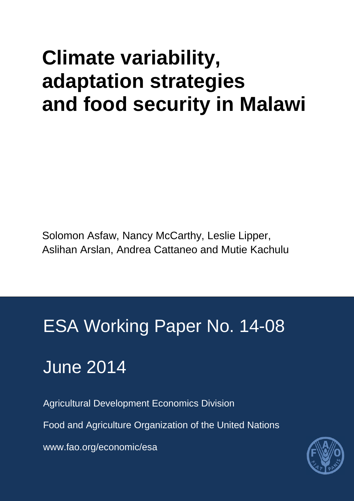# **Climate variability, adaptation strategies and food security in Malawi**

Solomon Asfaw, Nancy McCarthy, Leslie Lipper, Aslihan Arslan, Andrea Cattaneo and Mutie Kachulu

# ESA Working Paper No. 14-08

# June 2014

Agricultural Development Economics Division

Food and Agriculture Organization of the United Nations

www.fao.org/economic/esa

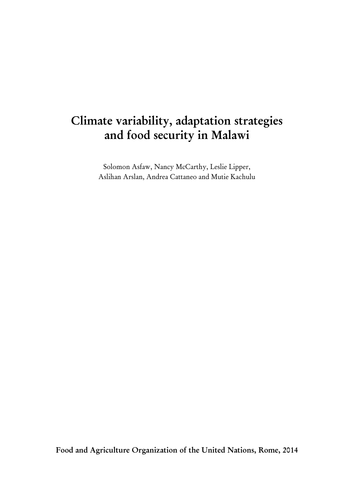# Climate variability, adaptation strategies and food security in Malawi

Solomon Asfaw, Nancy McCarthy, Leslie Lipper, Aslihan Arslan, Andrea Cattaneo and Mutie Kachulu

Food and Agriculture Organization of the United Nations, Rome, 2014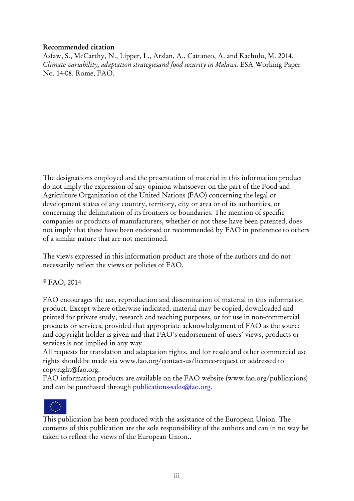# Recommended citation

Asfaw, S., McCarthy, N., Lipper, L., Arslan, A., Cattaneo, A. and Kachulu, M. 2014. *Climate variability, adaptation strategiesand food security in Malawi.* ESA Working Paper No. 14-08. Rome, FAO.

The designations employed and the presentation of material in this information product do not imply the expression of any opinion whatsoever on the part of the Food and Agriculture Organization of the United Nations (FAO) concerning the legal or development status of any country, territory, city or area or of its authorities, or concerning the delimitation of its frontiers or boundaries. The mention of specific companies or products of manufacturers, whether or not these have been patented, does not imply that these have been endorsed or recommended by FAO in preference to others of a similar nature that are not mentioned.

The views expressed in this information product are those of the authors and do not necessarily reflect the views or policies of FAO.

# © FAO, 2014

FAO encourages the use, reproduction and dissemination of material in this information product. Except where otherwise indicated, material may be copied, downloaded and printed for private study, research and teaching purposes, or for use in non-commercial products or services, provided that appropriate acknowledgement of FAO as the source and copyright holder is given and that FAO's endorsement of users' views, products or services is not implied in any way.

All requests for translation and adaptation rights, and for resale and other commercial use rights should be made via www.fao.org/contact-us/licence-request or addressed to copyright@fao.org.

FAO information products are available on the FAO website (www.fao.org/publications) and can be purchased through publications-sales@fao.org.



This publication has been produced with the assistance of the European Union. The contents of this publication are the sole responsibility of the authors and can in no way be taken to reflect the views of the European Union..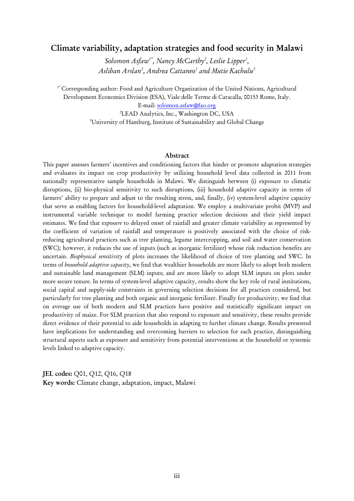## Climate variability, adaptation strategies and food security in Malawi

Solomon Asfaw<sup>1\*</sup>, Nancy McCarthy<sup>2</sup>, Leslie Lipper<sup>1</sup>, *Aslihan Arslan1 , Andrea Cattaneo1 and Mutie Kachulu3*

<sup>1\*</sup> Corresponding author: Food and Agriculture Organization of the United Nations, Agricultural Development Economics Division (ESA), Viale delle Terme di Caracalla, 00153 Rome, Italy. E-mail: [solomon.asfaw@fao.org](mailto:solomon.asfaw@fao.org) 2 LEAD Analytics, Inc., Washington DC, USA <sup>3</sup>University of Hamburg, Institute of Sustainability and Global Change

#### Abstract

This paper assesses farmers' incentives and conditioning factors that hinder or promote adaptation strategies and evaluates its impact on crop productivity by utilizing household level data collected in 2011 from nationally representative sample households in Malawi. We distinguish between (i) exposure to climatic disruptions, (ii) bio-physical sensitivity to such disruptions, (iii) household adaptive capacity in terms of farmers' ability to prepare and adjust to the resulting stress, and, finally, (iv) system-level adaptive capacity that serve as enabling factors for household-level adaptation. We employ a multivariate probit (MVP) and instrumental variable technique to model farming practice selection decisions and their yield impact estimates. We find that e*xposure* to delayed onset of rainfall and greater climate variability as represented by the coefficient of variation of rainfall and temperature is positively associated with the choice of riskreducing agricultural practices such as tree planting, legume intercropping, and soil and water conservation (SWC); however, it reduces the use of inputs (such as inorganic fertilizer) whose risk reduction benefits are uncertain. *Biophysical sensitivity* of plots increases the likelihood of choice of tree planting and SWC. In terms of *household adaptive capacity*, we find that wealthier households are more likely to adopt both modern and sustainable land management (SLM) inputs; and are more likely to adopt SLM inputs on plots under more secure tenure. In terms of system-level adaptive capacity, results show the key role of rural institutions, social capital and supply-side constraints in governing selection decisions for all practices considered, but particularly for tree planting and both organic and inorganic fertilizer. Finally for productivity, we find that on average use of both modern and SLM practices have positive and statistically significant impact on productivity of maize. For SLM practices that also respond to exposure and sensitivity, these results provide direct evidence of their potential to aide households in adapting to further climate change. Results presented have implications for understanding and overcoming barriers to selection for each practice, distinguishing structural aspects such as exposure and sensitivity from potential interventions at the household or systemic levels linked to adaptive capacity.

JEL codes: Q01, Q12, Q16, Q18 Key words: Climate change, adaptation, impact, Malawi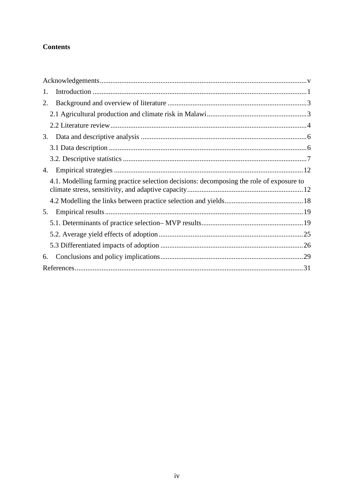# **Contents**

| 1. |                                                                                          |  |
|----|------------------------------------------------------------------------------------------|--|
| 2. |                                                                                          |  |
|    |                                                                                          |  |
|    |                                                                                          |  |
| 3. |                                                                                          |  |
|    |                                                                                          |  |
|    |                                                                                          |  |
| 4. |                                                                                          |  |
|    | 4.1. Modelling farming practice selection decisions: decomposing the role of exposure to |  |
|    |                                                                                          |  |
| 5. |                                                                                          |  |
|    |                                                                                          |  |
|    |                                                                                          |  |
|    |                                                                                          |  |
| 6. |                                                                                          |  |
|    |                                                                                          |  |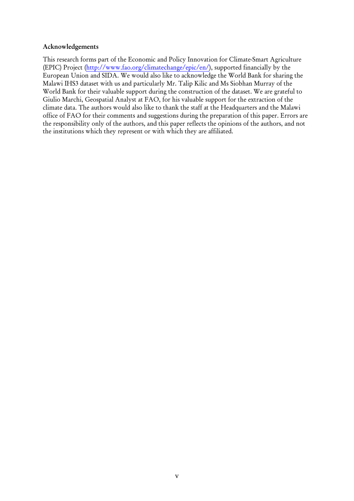#### <span id="page-5-0"></span>Acknowledgements

<span id="page-5-1"></span>This research forms part of the Economic and Policy Innovation for Climate-Smart Agriculture (EPIC) Project [\(http://www.fao.org/climatechange/epic/en/\)](http://www.fao.org/climatechange/epic/en/), supported financially by the European Union and SIDA. We would also like to acknowledge the World Bank for sharing the Malawi IHS3 dataset with us and particularly Mr. Talip Kilic and Ms Siobhan Murray of the World Bank for their valuable support during the construction of the dataset. We are grateful to Giulio Marchi, Geospatial Analyst at FAO, for his valuable support for the extraction of the climate data. The authors would also like to thank the staff at the Headquarters and the Malawi office of FAO for their comments and suggestions during the preparation of this paper. Errors are the responsibility only of the authors, and this paper reflects the opinions of the authors, and not the institutions which they represent or with which they are affiliated.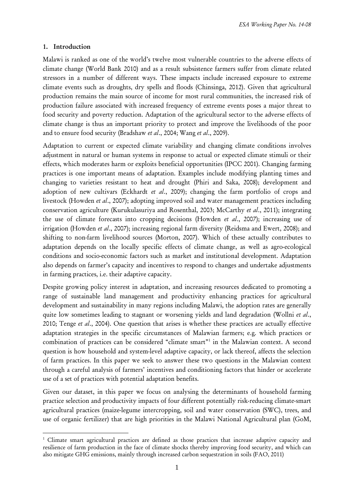# <span id="page-6-0"></span>1. Introduction

Malawi is ranked as one of the world's twelve most vulnerable countries to the adverse effects of climate change (World Bank 2010) and as a result subsistence farmers suffer from climate related stressors in a number of different ways. These impacts include increased exposure to extreme climate events such as droughts, dry spells and floods (Chinsinga, 2012). Given that agricultural production remains the main source of income for most rural communities, the increased risk of production failure associated with increased frequency of extreme events poses a major threat to food security and poverty reduction. Adaptation of the agricultural sector to the adverse effects of climate change is thus an important priority to protect and improve the livelihoods of the poor and to ensure food security (Bradshaw *et al*., 2004; Wang *et al*., 2009).

Adaptation to current or expected climate variability and changing climate conditions involves adjustment in natural or human systems in response to actual or expected climate stimuli or their effects, which moderates harm or exploits beneficial opportunities (IPCC 2001). Changing farming practices is one important means of adaptation. Examples include modifying planting times and changing to varieties resistant to heat and drought (Phiri and Saka, 2008); development and adoption of new cultivars (Eckhardt *et al*., 2009); changing the farm portfolio of crops and livestock (Howden *et al*., 2007); adopting improved soil and water management practices including conservation agriculture (Kurukulasuriya and Rosenthal, 2003; McCarthy *et al*., 2011); integrating the use of climate forecasts into cropping decisions (Howden *et al*., 2007); increasing use of irrigation (Howden *et al*., 2007); increasing regional farm diversity (Reidsma and Ewert, 2008); and shifting to non-farm livelihood sources (Morton, 2007). Which of these actually contributes to adaptation depends on the locally specific effects of climate change, as well as agro-ecological conditions and socio-economic factors such as market and institutional development. Adaptation also depends on farmer's capacity and incentives to respond to changes and undertake adjustments in farming practices, i.e. their adaptive capacity.

Despite growing policy interest in adaptation, and increasing resources dedicated to promoting a range of sustainable land management and productivity enhancing practices for agricultural development and sustainability in many regions including Malawi, the adoption rates are generally quite low sometimes leading to stagnant or worsening yields and land degradation (Wollni *et al*., 2010; Tenge *et al*., 2004). One question that arises is whether these practices are actually effective adaptation strategies in the specific circumstances of Malawian farmers; e.g. which practices or combination of practices can be considered "climate smart"<sup>[1](#page-5-1)</sup> in the Malawian context. A second question is how household and system-level adaptive capacity, or lack thereof, affects the selection of farm practices. In this paper we seek to answer these two questions in the Malawian context through a careful analysis of farmers' incentives and conditioning factors that hinder or accelerate use of a set of practices with potential adaptation benefits.

Given our dataset, in this paper we focus on analysing the determinants of household farming practice selection and productivity impacts of four different potentially risk-reducing climate-smart agricultural practices (maize-legume intercropping, soil and water conservation (SWC), trees, and use of organic fertilizer) that are high priorities in the Malawi National Agricultural plan (GoM,

<span id="page-6-1"></span><sup>&</sup>lt;u>.</u> <sup>1</sup> Climate smart agricultural practices are defined as those practices that increase adaptive capacity and resilience of farm production in the face of climate shocks thereby improving food security, and which can also mitigate GHG emissions, mainly through increased carbon sequestration in soils (FAO, 2011)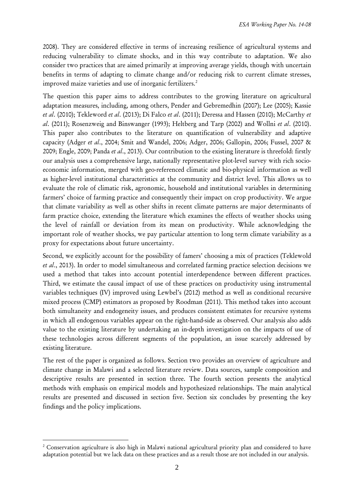2008). They are considered effective in terms of increasing resilience of agricultural systems and reducing vulnerability to climate shocks, and in this way contribute to adaptation. We also consider two practices that are aimed primarily at improving average yields, though with uncertain benefits in terms of adapting to climate change and/or reducing risk to current climate stresses, improved maize varieties and use of inorganic fertilizers. [2](#page-6-1)

The question this paper aims to address contributes to the growing literature on agricultural adaptation measures, including, among others, Pender and Gebremedhin (2007); Lee (2005); Kassie *et al*. (2010); Tekleword *et al*. (2013); Di Falco *et al*. (2011); Deressa and Hassen (2010); McCarthy *et al*. (2011); Rosenzweig and Binswanger (1993); Heltberg and Tarp (2002) and Wollni *et al*. (2010). This paper also contributes to the literature on quantification of vulnerability and adaptive capacity (Adger *et al*., 2004; Smit and Wandel, 2006; Adger, 2006; Gallopin, 2006; Fussel, 2007 & 2009; Engle, 2009; Panda *et al*., 2013). Our contribution to the existing literature is threefold: firstly our analysis uses a comprehensive large, nationally representative plot-level survey with rich socioeconomic information, merged with geo-referenced climatic and bio-physical information as well as higher-level institutional characteristics at the community and district level. This allows us to evaluate the role of climatic risk, agronomic, household and institutional variables in determining farmers' choice of farming practice and consequently their impact on crop productivity. We argue that climate variability as well as other shifts in recent climate patterns are major determinants of farm practice choice, extending the literature which examines the effects of weather shocks using the level of rainfall or deviation from its mean on productivity. While acknowledging the important role of weather shocks, we pay particular attention to long term climate variability as a proxy for expectations about future uncertainty.

Second, we explicitly account for the possibility of famers' choosing a mix of practices (Teklewold *et al*., 2013). In order to model simultaneous and correlated farming practice selection decisions we used a method that takes into account potential interdependence between different practices. Third, we estimate the causal impact of use of these practices on productivity using instrumental variables techniques (IV) improved using Lewbel's (2012) method as well as conditional recursive mixed process (CMP) estimators as proposed by Roodman (2011). This method takes into account both simultaneity and endogeneity issues, and produces consistent estimates for recursive systems in which all endogenous variables appear on the right-hand-side as observed. Our analysis also adds value to the existing literature by undertaking an in-depth investigation on the impacts of use of these technologies across different segments of the population, an issue scarcely addressed by existing literature.

The rest of the paper is organized as follows. Section two provides an overview of agriculture and climate change in Malawi and a selected literature review. Data sources, sample composition and descriptive results are presented in section three. The fourth section presents the analytical methods with emphasis on empirical models and hypothesized relationships. The main analytical results are presented and discussed in section five. Section six concludes by presenting the key findings and the policy implications.

<span id="page-7-0"></span><sup>-</sup><sup>2</sup> Conservation agriculture is also high in Malawi national agricultural priority plan and considered to have adaptation potential but we lack data on these practices and as a result those are not included in our analysis.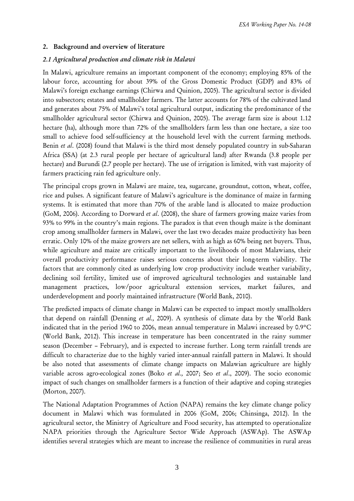## <span id="page-8-0"></span>2. Background and overview of literature

## <span id="page-8-1"></span>*2.1 Agricultural production and climate risk in Malawi*

In Malawi, agriculture remains an important component of the economy; employing 85% of the labour force, accounting for about 39% of the Gross Domestic Product (GDP) and 83% of Malawi's foreign exchange earnings (Chirwa and Quinion, 2005). The agricultural sector is divided into subsectors; estates and smallholder farmers. The latter accounts for 78% of the cultivated land and generates about 75% of Malawi's total agricultural output, indicating the predominance of the smallholder agricultural sector (Chirwa and Quinion, 2005). The average farm size is about 1.12 hectare (ha), although more than 72% of the smallholders farm less than one hectare, a size too small to achieve food self-sufficiency at the household level with the current farming methods. Benin *et al*. (2008) found that Malawi is the third most densely populated country in sub-Saharan Africa (SSA) (at 2.3 rural people per hectare of agricultural land) after Rwanda (3.8 people per hectare) and Burundi (2.7 people per hectare). The use of irrigation is limited, with vast majority of farmers practicing rain fed agriculture only.

The principal crops grown in Malawi are maize, tea, sugarcane, groundnut, cotton, wheat, coffee, rice and pulses. A significant feature of Malawi's agriculture is the dominance of maize in farming systems. It is estimated that more than 70% of the arable land is allocated to maize production (GoM, 2006). According to Dorward *et al*. (2008), the share of farmers growing maize varies from 93% to 99% in the country's main regions. The paradox is that even though maize is the dominant crop among smallholder farmers in Malawi, over the last two decades maize productivity has been erratic. Only 10% of the maize growers are net sellers, with as high as 60% being net buyers. Thus, while agriculture and maize are critically important to the livelihoods of most Malawians, their overall productivity performance raises serious concerns about their long-term viability. The factors that are commonly cited as underlying low crop productivity include weather variability, declining soil fertility, limited use of improved agricultural technologies and sustainable land management practices, low/poor agricultural extension services, market failures, and underdevelopment and poorly maintained infrastructure (World Bank, 2010).

The predicted impacts of climate change in Malawi can be expected to impact mostly smallholders that depend on rainfall (Denning *et al.,* 2009). A synthesis of climate data by the World Bank indicated that in the period 1960 to 2006, mean annual temperature in Malawi increased by 0.9°C (World Bank, 2012). This increase in temperature has been concentrated in the rainy summer season (December – February), and is expected to increase further. Long term rainfall trends are difficult to characterize due to the highly varied inter-annual rainfall pattern in Malawi. It should be also noted that assessments of climate change impacts on Malawian agriculture are highly variable across agro-ecological zones (Boko *et al.,* 2007; Seo *et al*., 2009). The socio economic impact of such changes on smallholder farmers is a function of their adaptive and coping strategies (Morton, 2007).

The National Adaptation Programmes of Action (NAPA) remains the key climate change policy document in Malawi which was formulated in 2006 (GoM, 2006; Chinsinga, 2012). In the agricultural sector, the Ministry of Agriculture and Food security, has attempted to operationalize NAPA priorities through the Agriculture Sector Wide Approach (ASWAp). The ASWAp identifies several strategies which are meant to increase the resilience of communities in rural areas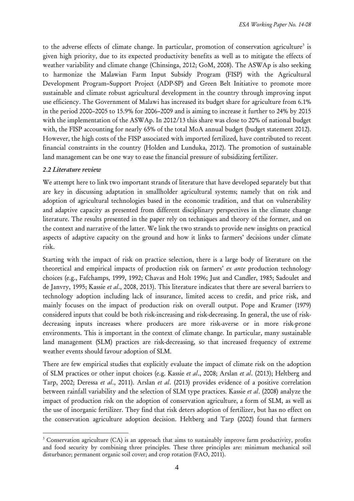to the adverse effects of climate change. In particular, promotion of conservation agriculture<sup>[3](#page-7-0)</sup> is given high priority, due to its expected productivity benefits as well as to mitigate the effects of weather variability and climate change (Chinsinga, 2012; GoM, 2008). The ASWAp is also seeking to harmonize the Malawian Farm Input Subsidy Program (FISP) with the Agricultural Development Program–Support Project (ADP-SP) and Green Belt Initiative to promote more sustainable and climate robust agricultural development in the country through improving input use efficiency. The Government of Malawi has increased its budget share for agriculture from 6.1% in the period 2000–2005 to 15.9% for 2006–2009 and is aiming to increase it further to 24% by 2015 with the implementation of the ASWAp. In 2012/13 this share was close to 20% of national budget with, the FISP accounting for nearly 65% of the total MoA annual budget (budget statement 2012). However, the high costs of the FISP associated with imported fertilized, have contributed to recent financial constraints in the country (Holden and Lunduka, 2012). The promotion of sustainable land management can be one way to ease the financial pressure of subsidizing fertilizer.

### <span id="page-9-0"></span>*2.2 Literature review*

We attempt here to link two important strands of literature that have developed separately but that are key in discussing adaptation in smallholder agricultural systems; namely that on risk and adoption of agricultural technologies based in the economic tradition, and that on vulnerability and adaptive capacity as presented from different disciplinary perspectives in the climate change literature. The results presented in the paper rely on techniques and theory of the former, and on the context and narrative of the latter. We link the two strands to provide new insights on practical aspects of adaptive capacity on the ground and how it links to farmers' decisions under climate risk.

Starting with the impact of risk on practice selection, there is a large body of literature on the theoretical and empirical impacts of production risk on farmers' *ex ante* production technology choices (e.g., Fafchamps, 1999, 1992; Chavas and Holt 1996; Just and Candler, 1985; Sadoulet and de Janvry, 1995; Kassie *et al*., 2008, 2013). This literature indicates that there are several barriers to technology adoption including lack of insurance, limited access to credit, and price risk, and mainly focuses on the impact of production risk on overall output. Pope and Kramer (1979) considered inputs that could be both risk-increasing and risk-decreasing. In general, the use of riskdecreasing inputs increases where producers are more risk-averse or in more risk-prone environments. This is important in the context of climate change. In particular, many sustainable land management (SLM) practices are risk-decreasing, so that increased frequency of extreme weather events should favour adoption of SLM.

There are few empirical studies that explicitly evaluate the impact of climate risk on the adoption of SLM practices or other input choices (e.g. Kassie *et al*., 2008; Arslan *et al*. (2013); Heltberg and Tarp, 2002; Deressa *et al*., 2011). Arslan *et al*. (2013) provides evidence of a positive correlation between rainfall variability and the selection of SLM type practices. Kassie *et al*. (2008) analyze the impact of production risk on the adoption of conservation agriculture, a form of SLM, as well as the use of inorganic fertilizer. They find that risk deters adoption of fertilizer, but has no effect on the conservation agriculture adoption decision. Heltberg and Tarp (2002) found that farmers

<span id="page-9-1"></span><sup>&</sup>lt;u>.</u> <sup>3</sup> Conservation agriculture (CA) is an approach that aims to sustainably improve farm productivity, profits and food security by combining three principles. These three principles are: minimum mechanical soil disturbance; permanent organic soil cover; and crop rotation (FAO, 2011).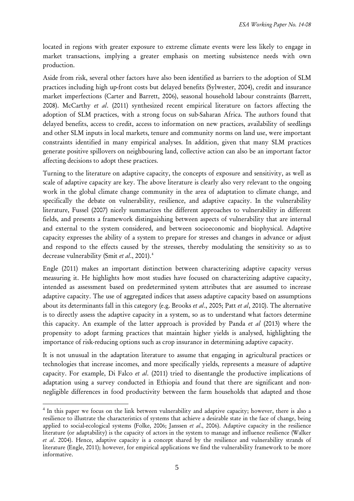located in regions with greater exposure to extreme climate events were less likely to engage in market transactions, implying a greater emphasis on meeting subsistence needs with own production.

Aside from risk, several other factors have also been identified as barriers to the adoption of SLM practices including high up-front costs but delayed benefits (Sylwester, 2004), credit and insurance market imperfections (Carter and Barrett, 2006), seasonal household labour constraints (Barrett, 2008). McCarthy *et al*. (2011) synthesized recent empirical literature on factors affecting the adoption of SLM practices, with a strong focus on sub-Saharan Africa. The authors found that delayed benefits, access to credit, access to information on new practices, availability of seedlings and other SLM inputs in local markets, tenure and community norms on land use, were important constraints identified in many empirical analyses. In addition, given that many SLM practices generate positive spillovers on neighbouring land, collective action can also be an important factor affecting decisions to adopt these practices.

Turning to the literature on adaptive capacity, the concepts of exposure and sensitivity, as well as scale of adaptive capacity are key. The above literature is clearly also very relevant to the ongoing work in the global climate change community in the area of adaptation to climate change, and specifically the debate on vulnerability, resilience, and adaptive capacity. In the vulnerability literature, Fussel (2007) nicely summarizes the different approaches to vulnerability in different fields, and presents a framework distinguishing between aspects of vulnerability that are internal and external to the system considered, and between socioeconomic and biophysical. Adaptive capacity expresses the ability of a system to prepare for stresses and changes in advance or adjust and respond to the effects caused by the stresses, thereby modulating the sensitivity so as to decrease vulnerability (Smit *et al*., 2001).[4](#page-9-1)

Engle (2011) makes an important distinction between characterizing adaptive capacity versus measuring it. He highlights how most studies have focused on characterizing adaptive capacity, intended as assessment based on predetermined system attributes that are assumed to increase adaptive capacity. The use of aggregated indices that assess adaptive capacity based on assumptions about its determinants fall in this category (e.g. Brooks *et al*., 2005; Patt *et al*, 2010). The alternative is to directly assess the adaptive capacity in a system, so as to understand what factors determine this capacity. An example of the latter approach is provided by Panda *et al* (2013) where the propensity to adopt farming practices that maintain higher yields is analysed, highlighting the importance of risk-reducing options such as crop insurance in determining adaptive capacity.

It is not unusual in the adaptation literature to assume that engaging in agricultural practices or technologies that increase incomes, and more specifically yields, represents a measure of adaptive capacity. For example, Di Falco *et al*. (2011) tried to disentangle the productive implications of adaptation using a survey conducted in Ethiopia and found that there are significant and nonnegligible differences in food productivity between the farm households that adapted and those

-

<span id="page-10-0"></span><sup>&</sup>lt;sup>4</sup> In this paper we focus on the link between vulnerability and adaptive capacity; however, there is also a resilience to illustrate the characteristics of systems that achieve a desirable state in the face of change, being applied to social-ecological systems (Folke, 2006; Janssen *et al*., 2006). Adaptive capacity in the resilience literature (or adaptability) is the capacity of actors in the system to manage and influence resilience (Walker *et al*. 2004). Hence, adaptive capacity is a concept shared by the resilience and vulnerability strands of literature (Engle, 2011); however, for empirical applications we find the vulnerability framework to be more informative.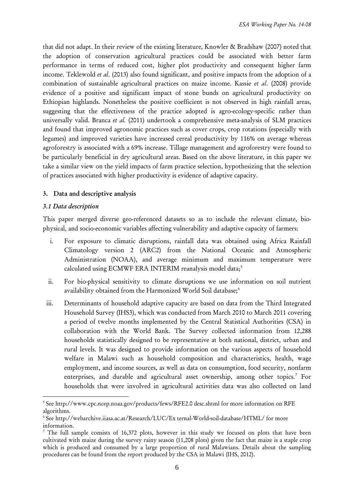that did not adapt. In their review of the existing literature, Knowler & Bradshaw (2007) noted that the adoption of conservation agricultural practices could be associated with better farm performance in terms of reduced cost, higher plot productivity and consequent higher farm income. Teklewold *et al*. (2013) also found significant, and positive impacts from the adoption of a combination of sustainable agricultural practices on maize income. Kassie *et al*. (2008) provide evidence of a positive and significant impact of stone bunds on agricultural productivity on Ethiopian highlands. Nonetheless the positive coefficient is not observed in high rainfall areas, suggesting that the effectiveness of the practice adopted is agro-ecology-specific rather than universally valid. Branca *et al.* (2011) undertook a comprehensive meta-analysis of SLM practices and found that improved agronomic practices such as cover crops, crop rotations (especially with legumes) and improved varieties have increased cereal productivity by 116% on average whereas agroforestry is associated with a 69% increase. Tillage management and agroforestry were found to be particularly beneficial in dry agricultural areas. Based on the above literature, in this paper we take a similar view on the yield impacts of farm practice selection, hypothesizing that the selection of practices associated with higher productivity is evidence of adaptive capacity.

# <span id="page-11-0"></span>3. Data and descriptive analysis

### <span id="page-11-1"></span>*3.1 Data description*

-

This paper merged diverse geo-referenced datasets so as to include the relevant climate, biophysical, and socio-economic variables affecting vulnerability and adaptive capacity of farmers:

- i. For exposure to climatic disruptions, rainfall data was obtained using Africa Rainfall Climatology version 2 (ARC2) from the [National Oceanic and Atmospheric](http://www.noaa.gov/)  [Administration](http://www.noaa.gov/) (NOAA), and average minimum and maximum temperature were calculated using ECMWF ERA INTERIM reanalysis model data; [5](#page-10-0)
- ii. For bio-physical sensitivity to climate disruptions we use information on soil nutrient availability obtained from the Harmonized World Soil database; [6](#page-11-2)
- iii. Determinants of household adaptive capacity are based on data from the Third Integrated Household Survey (IHS3), which was conducted from March 2010 to March 2011 covering a period of twelve months implemented by the Central Statistical Authorities (CSA) in collaboration with the World Bank. The Survey collected information from 12,288 households statistically designed to be representative at both national, district, urban and rural levels. It was designed to provide information on the various aspects of household welfare in Malawi such as household composition and characteristics, health, wage employment, and income sources, as well as data on consumption, food security, nonfarm enterprises, and durable and agricultural asset ownership, among other topics.<sup>[7](#page-11-3)</sup> For households that were involved in agricultural activities data was also collected on land

<sup>5</sup> See http://www.cpc.ncep.noaa.gov/products/fews/RFE2.0 desc.shtml for more information on RFE algorithms.

<span id="page-11-2"></span><sup>6</sup> See http://webarchive.iiasa.ac.at/Research/LUC/Ex ternal-World-soil-database/HTML/ for more information.

<span id="page-11-3"></span><sup>&</sup>lt;sup>7</sup> The full sample consists of 16,372 plots, however in this study we focused on plots that have been cultivated with maize during the survey rainy season (11,208 plots) given the fact that maize is a staple crop which is produced and consumed by a large proportion of rural Malawians. Details about the sampling procedures can be found from the report produced by the CSA in Malawi (IHS, 2012).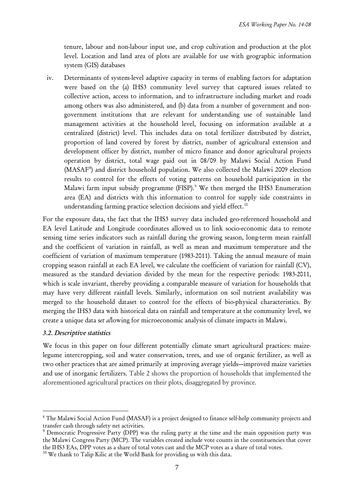tenure, labour and non-labour input use, and crop cultivation and production at the plot level. Location and land area of plots are available for use with geographic information system (GIS) databases

iv. Determinants of system-level adaptive capacity in terms of enabling factors for adaptation were based on the (a) IHS3 community level survey that captured issues related to collective action, access to information, and to infrastructure including market and roads among others was also administered, and (b) data from a number of government and nongovernment institutions that are relevant for understanding use of sustainable land management activities at the household level, focusing on information available at a centralized (district) level. This includes data on total fertilizer distributed by district, proportion of land covered by forest by district, number of agricultural extension and development officer by district, number of micro finance and donor agricultural projects operation by district, total wage paid out in 08/09 by Malawi Social Action Fund (MASAF<sup>[8](#page-11-2)</sup>) and district household population. We also collected the Malawi 2009 election results to control for the effects of voting patterns on household participation in the Malawi farm input subsidy programme (FISP). [9](#page-12-1) We then merged the IHS3 Enumeration area (EA) and districts with this information to control for supply side constraints in understanding farming practice selection decisions and yield effect.<sup>[10](#page-12-2)</sup>

For the exposure data, the fact that the IHS3 survey data included geo-referenced household and EA level Latitude and Longitude coordinates allowed us to link socio-economic data to remote sensing time series indicators such as rainfall during the growing season, long-term mean rainfall and the coefficient of variation in rainfall, as well as mean and maximum temperature and the coefficient of variation of maximum temperature (1983-2011). Taking the annual measure of main cropping season rainfall at each EA level, we calculate the coefficient of variation for rainfall (CV), measured as the standard deviation divided by the mean for the respective periods: 1983-2011, which is scale invariant, thereby providing a comparable measure of variation for households that may have very different rainfall levels. Similarly, information on soil nutrient availability was merged to the household dataset to control for the effects of bio-physical characteristics. By merging the IHS3 data with historical data on rainfall and temperature at the community level, we create a unique data s*et al*lowing for microeconomic analysis of climate impacts in Malawi.

#### <span id="page-12-0"></span>*3.2. Descriptive statistics*

<span id="page-12-3"></span>-

We focus in this paper on four different potentially climate smart agricultural practices: maizelegume intercropping, soil and water conservation, trees, and use of organic fertilizer, as well as two other practices that are aimed primarily at improving average yields—improved maize varieties and use of inorganic fertilizers. Table 2 shows the proportion of households that implemented the aforementioned agricultural practices on their plots, disaggregated by province.

<sup>&</sup>lt;sup>8</sup> The Malawi Social Action Fund (MASAF) is a project designed to finance self-help community projects and transfer cash through safety net activities.

<span id="page-12-1"></span><sup>9</sup> Democratic Progressive Party (DPP) was the ruling party at the time and the main opposition party was the Malawi Congress Party (MCP). The variables created include vote counts in the constituencies that cover the IHS3 EAs, DPP votes as a share of total votes cast and the MCP votes as a share of total votes.

<span id="page-12-2"></span><sup>&</sup>lt;sup>10</sup> We thank to Talip Kilic at the World Bank for providing us with this data.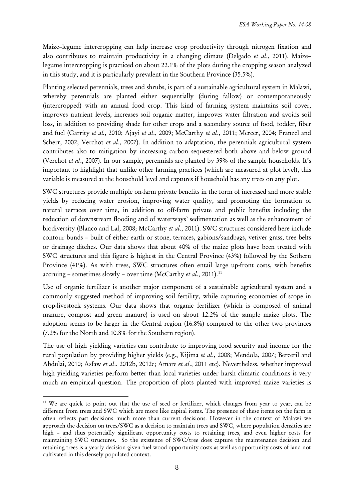Maize–legume intercropping can help increase crop productivity through nitrogen fixation and also contributes to maintain productivity in a changing climate (Delgado *et al*., 2011). Maize– legume intercropping is practiced on about 22.1% of the plots during the cropping season analyzed in this study, and it is particularly prevalent in the Southern Province (35.5%).

Planting selected perennials, trees and shrubs, is part of a sustainable agricultural system in Malawi, whereby perennials are planted either sequentially (during fallow) or contemporaneously (intercropped) with an annual food crop. This kind of farming system maintains soil cover, improves nutrient levels, increases soil organic matter, improves water filtration and avoids soil loss, in addition to providing shade for other crops and a secondary source of food, fodder, fiber and fuel (Garrity *et al.,* 2010; Ajayi *et al*., 2009; McCarthy *et al*., 2011; Mercer, 2004; Franzel and Scherr, 2002; Verchot *et al*., 2007). In addition to adaptation, the perennials agricultural system contributes also to mitigation by increasing carbon sequestered both above and below ground (Verchot *et al*., 2007). In our sample, perennials are planted by 39% of the sample households. It's important to highlight that unlike other farming practices (which are measured at plot level), this variable is measured at the household level and captures if household has any trees on any plot.

SWC structures provide multiple on-farm private benefits in the form of increased and more stable yields by reducing water erosion, improving water quality, and promoting the formation of natural terraces over time, in addition to off-farm private and public benefits including the reduction of downstream flooding and of waterways' sedimentation as well as the enhancement of biodiversity (Blanco and Lal, 2008; McCarthy *et al*., 2011). SWC structures considered here include contour bunds – built of either earth or stone, terraces, gabions/sandbags, vetiver grass, tree belts or drainage ditches. Our data shows that about 40% of the maize plots have been treated with SWC structures and this figure is highest in the Central Province (43%) followed by the Sothern Province (41%). As with trees, SWC structures often entail large up-front costs, with benefits accruing – sometimes slowly – over time (McCarthy *et al.*, 20[11](#page-12-3)).<sup>11</sup>

Use of organic fertilizer is another major component of a sustainable agricultural system and a commonly suggested method of improving soil fertility, while capturing economies of scope in crop-livestock systems. Our data shows that organic fertilizer (which is composed of animal manure, compost and green manure) is used on about 12.2% of the sample maize plots. The adoption seems to be larger in the Central region (16.8%) compared to the other two provinces (7.2% for the North and 10.8% for the Southern region).

The use of high yielding varieties can contribute to improving food security and income for the rural population by providing higher yields (e.g., Kijima *et al*., 2008; Mendola, 2007; Berceril and Abdulai, 2010; Asfaw *et al*., 2012b, 2012c; Amare *et al*., 2011 etc). Nevertheless, whether improved high yielding varieties perform better than local varieties under harsh climatic conditions is very much an empirical question. The proportion of plots planted with improved maize varieties is

-

<span id="page-13-0"></span><sup>&</sup>lt;sup>11</sup> We are quick to point out that the use of seed or fertilizer, which changes from year to year, can be different from trees and SWC which are more like capital items. The presence of these items on the farm is often reflects past decisions much more than current decisions. However in the context of Malawi we approach the decision on trees/SWC as a decision to maintain trees and SWC, where population densities are high – and thus potentially significant opportunity costs to retaining trees, and even higher costs for maintaining SWC structures. So the existence of SWC/tree does capture the maintenance decision and retaining trees is a yearly decision given fuel wood opportunity costs as well as opportunity costs of land not cultivated in this densely populated context.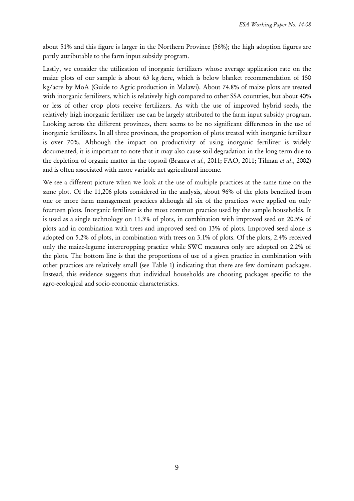about 51% and this figure is larger in the Northern Province (56%); the high adoption figures are partly attributable to the farm input subsidy program.

Lastly, we consider the utilization of inorganic fertilizers whose average application rate on the maize plots of our sample is about 63 kg ⁄acre, which is below blanket recommendation of 150 kg/acre by MoA (Guide to Agric production in Malawi). About 74.8% of maize plots are treated with inorganic fertilizers, which is relatively high compared to other SSA countries, but about 40% or less of other crop plots receive fertilizers. As with the use of improved hybrid seeds, the relatively high inorganic fertilizer use can be largely attributed to the farm input subsidy program. Looking across the different provinces, there seems to be no significant differences in the use of inorganic fertilizers. In all three provinces, the proportion of plots treated with inorganic fertilizer is over 70%. Although the impact on productivity of using inorganic fertilizer is widely documented, it is important to note that it may also cause soil degradation in the long term due to the depletion of organic matter in the topsoil (Branca *et al.,* 2011; FAO, 2011; Tilman *et al*., 2002) and is often associated with more variable net agricultural income.

We see a different picture when we look at the use of multiple practices at the same time on the same plot. Of the 11,206 plots considered in the analysis, about 96% of the plots benefited from one or more farm management practices although all six of the practices were applied on only fourteen plots. Inorganic fertilizer is the most common practice used by the sample households. It is used as a single technology on 11.3% of plots, in combination with improved seed on 20.5% of plots and in combination with trees and improved seed on 13% of plots. Improved seed alone is adopted on 5.2% of plots, in combination with trees on 3.1% of plots. Of the plots, 2.4% received only the maize-legume intercropping practice while SWC measures only are adopted on 2.2% of the plots. The bottom line is that the proportions of use of a given practice in combination with other practices are relatively small (see Table 1) indicating that there are few dominant packages. Instead, this evidence suggests that individual households are choosing packages specific to the agro-ecological and socio-economic characteristics.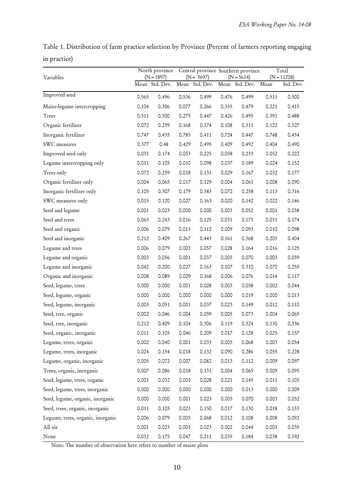| Table 1. Distribution of farm practice selection by Province (Percent of farmers reporting engaging |  |  |  |  |
|-----------------------------------------------------------------------------------------------------|--|--|--|--|
| in practice)                                                                                        |  |  |  |  |

|                                   |       | North province                 |       | Central province Southern province |       |                                     |       | Total                      |
|-----------------------------------|-------|--------------------------------|-------|------------------------------------|-------|-------------------------------------|-------|----------------------------|
| Variables                         |       | $(N = 1897)$<br>Mean Std. Dev. |       | $(N = 3697)$<br>Mean Std. Dev.     |       | $(N = 5614)$<br>Mean Std. Dev. Mean |       | $(N = 11208)$<br>Std. Dev. |
| Improved seed                     |       |                                |       |                                    |       |                                     |       |                            |
|                                   | 0.565 | 0.496                          | 0.536 | 0.499                              | 0.476 | 0.499                               | 0.511 | 0.500                      |
| Maize-legume intercropping        | 0.104 | 0.306                          | 0.077 | 0.266                              | 0.355 | 0.479                               | 0.221 | 0.415                      |
| Trees                             | 0.511 | 0.500                          | 0.275 | 0.447                              | 0.426 | 0.495                               | 0.391 | 0.488                      |
| Organic fertilizer                | 0.072 | 0.259                          | 0.168 | 0.374                              | 0.108 | 0.311                               | 0.122 | 0.327                      |
| Inorganic fertilizer              | 0.747 | 0.435                          | 0.785 | 0.411                              | 0.724 | 0.447                               | 0.748 | 0.434                      |
| SWC measures                      | 0.377 | 0.48                           | 0.429 | 0.495                              | 0.409 | 0.492                               | 0.404 | 0.490                      |
| Improved seed only                | 0.031 | 0.174                          | 0.053 | 0.225                              | 0.058 | 0.233                               | 0.052 | 0.222                      |
| Legume intercropping only         | 0.011 | 0.105                          | 0.010 | 0.098                              | 0.037 | 0.189                               | 0.024 | 0.152                      |
| Trees only                        | 0.072 | 0.259                          | 0.018 | 0.131                              | 0.029 | 0.167                               | 0.032 | 0.177                      |
| Organic fertilizer only           | 0.004 | 0.065                          | 0.017 | 0.129                              | 0.004 | 0.061                               | 0.008 | 0.090                      |
| Inorganic fertilizer only         | 0.105 | 0.307                          | 0.179 | 0.383                              | 0.072 | 0.258                               | 0.113 | 0.316                      |
| SWC measures only                 | 0.015 | 0.120                          | 0.027 | 0.163                              | 0.020 | 0.142                               | 0.022 | 0.146                      |
| Seed and legume                   | 0.001 | 0.023                          | 0.000 | 0.000                              | 0.003 | 0.052                               | 0.001 | 0.038                      |
| Seed and trees                    | 0.063 | 0.243                          | 0.016 | 0.125                              | 0.031 | 0.173                               | 0.031 | 0.174                      |
| Seed and organic                  | 0.006 | 0.079                          | 0.013 | 0.112                              | 0.009 | 0.093                               | 0.010 | 0.098                      |
| Seed and inorganic                | 0.212 | 0.409                          | 0.267 | 0.443                              | 0.161 | 0.368                               | 0.205 | 0.404                      |
| Legume and trees                  | 0.006 | 0.079                          | 0.003 | 0.057                              | 0.028 | 0.164                               | 0.016 | 0.125                      |
| Legume and organic                | 0.003 | 0.056                          | 0.001 | 0.037                              | 0.005 | 0.070                               | 0.003 | 0.059                      |
| Legume and inorganic              | 0.042 | 0.200                          | 0.027 | 0.163                              | 0.107 | 0.310                               | 0.070 | 0.255                      |
| Organic and inorganic             | 0.008 | 0.089                          | 0.029 | 0.168                              | 0.006 | 0.076                               | 0.014 | 0.117                      |
| Seed, legume, trees               | 0.000 | 0.000                          | 0.001 | 0.028                              | 0.003 | 0.058                               | 0.002 | 0.044                      |
| Seed, legume, organic             | 0.000 | 0.000                          | 0.000 | 0.000                              | 0.000 | 0.019                               | 0.000 | 0.013                      |
| Seed, legume, inorganic           | 0.003 | 0.051                          | 0.001 | 0.037                              | 0.023 | 0.149                               | 0.012 | 0.110                      |
| Seed, tree, organic               | 0.002 | 0.046                          | 0.004 | 0.059                              | 0.005 | 0.073                               | 0.004 | 0.065                      |
| Seed, tree, inorganic             | 0.212 | 0.409                          | 0.104 | 0.306                              | 0.119 | 0.324                               | 0.130 | 0.336                      |
| Seed, organic, inorganic          | 0.011 | 0.105                          | 0.046 | 0.209                              | 0.017 | 0.128                               | 0.025 | 0.157                      |
| Legume, trees, organic            | 0.002 | 0.040                          | 0.001 | 0.033                              | 0.005 | 0.068                               | 0.003 | 0.054                      |
| Legume, trees, inorganic          | 0.024 | 0.154                          | 0.018 | 0.132                              | 0.090 | 0.286                               | 0.055 | 0.228                      |
| Legume, organic, inorganic        | 0.005 | 0.072                          | 0.007 | 0.082                              | 0.013 | 0.112                               | 0.009 | 0.097                      |
| Trees, organic, inorganic         | 0.007 | 0.086                          | 0.018 | 0.131                              | 0.004 | 0.065                               | 0.009 | 0.095                      |
| Seed, legume, trees, organic      | 0.001 | 0.032                          | 0.001 | 0.028                              | 0.021 | 0.145                               | 0.011 | 0.105                      |
| Seed, legume, trees, inorganic    | 0.000 | 0.000                          | 0.000 | 0.000                              | 0.000 | 0.013                               | 0.000 | 0.009                      |
| Seed, legume, organic, inorganic  | 0.000 | 0.000                          | 0.001 | 0.023                              | 0.005 | 0.070                               | 0.003 | 0.052                      |
| Seed, trees, organic, inorganic   | 0.011 | 0.105                          | 0.023 | 0.150                              | 0.017 | 0.130                               | 0.018 | 0.133                      |
| Legume, trees, organic, inorganic | 0.006 | 0.079                          | 0.005 | 0.068                              | 0.012 | 0.108                               | 0.008 | 0.092                      |
| All six                           | 0.001 | 0.023                          | 0.001 | 0.023                              | 0.002 | 0.044                               | 0.001 | 0.035                      |
| None                              | 0.032 | 0.175                          | 0.047 | 0.211                              | 0.035 | 0.184                               | 0.038 | 0.192                      |

Note: The number of observation here refers to number of maize plots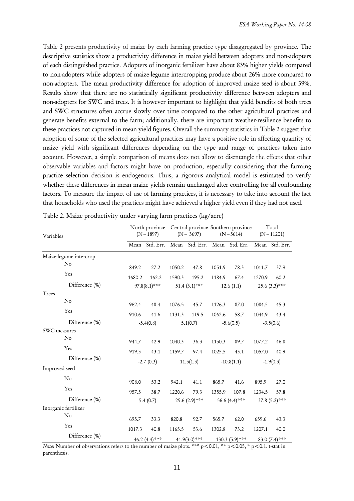Table 2 presents productivity of maize by each farming practice type disaggregated by province. The descriptive statistics show a productivity difference in maize yield between adopters and non-adopters of each distinguished practice. Adopters of inorganic fertilizer have about 83% higher yields compared to non-adopters while adopters of maize-legume intercropping produce about 26% more compared to non-adopters. The mean productivity difference for adoption of improved maize seed is about 39%. Results show that there are no statistically significant productivity difference between adopters and non-adopters for SWC and trees. It is however important to highlight that yield benefits of both trees and SWC structures often accrue slowly over time compared to the other agricultural practices and generate benefits external to the farm; additionally, there are important weather-resilience benefits to these practices not captured in mean yield figures. Overall the summary statistics in Table 2 suggest that adoption of some of the selected agricultural practices may have a positive role in affecting quantity of maize yield with significant differences depending on the type and range of practices taken into account. However, a simple comparison of means does not allow to disentangle the effects that other observable variables and factors might have on production, especially considering that the farming practice selection decision is endogenous. Thus, a rigorous analytical model is estimated to verify whether these differences in mean maize yields remain unchanged after controlling for all confounding factors. To measure the impact of use of farming practices, it is necessary to take into account the fact that households who used the practices might have achieved a higher yield even if they had not used.

| Variables              |        | $(N = 1897)$    |        | $(N = 3697)$    |        | North province Central province Southern province<br>$(N = 5614)$ |             | Total<br>$(N = 11201)$ |
|------------------------|--------|-----------------|--------|-----------------|--------|-------------------------------------------------------------------|-------------|------------------------|
|                        |        | Mean Std. Err.  | Mean   | Std. Err.       |        | Mean Std. Err.                                                    |             | Mean Std. Err.         |
| Maize-legume intercrop |        |                 |        |                 |        |                                                                   |             |                        |
| No                     | 849.2  | 27.2            | 1050.2 | 47.8            | 1051.9 | 78.3                                                              | 1011.7      | 37.9                   |
| Yes                    | 1680.2 | 162.2           | 1590.3 | 195.2           | 1184.9 | 67.4                                                              | 1270.9      | 60.2                   |
| Difference (%)         |        | $97.8(8.1)$ *** |        | $51.4(3.1)$ *** |        | 12.6(1.1)                                                         |             | 25.6 $(3.3)$ ***       |
| Trees                  |        |                 |        |                 |        |                                                                   |             |                        |
| $\rm No$               | 962.4  | 48.4            | 1076.5 | 45.7            | 1126.3 | 87.0                                                              | 1084.5      | 45.3                   |
| Yes                    | 910.6  | 41.6            | 1131.3 | 119.5           | 1062.6 | 58.7                                                              | 1044.9      | 43.4                   |
| Difference (%)         |        | $-5.4(0.8)$     |        | 5.1(0.7)        |        | $-5.6(0.5)$                                                       |             | $-3.5(0.6)$            |
| SWC measures           |        |                 |        |                 |        |                                                                   |             |                        |
| No                     | 944.7  | 42.9            | 1040.3 | 36.3            | 1150.3 | 89.7                                                              | 1077.2      | 46.8                   |
| Yes                    | 919.3  | 43.1            | 1159.7 | 97.4            | 1025.5 | 43.1                                                              | 1057.0      | 40.9                   |
| Difference (%)         |        | $-2.7(0.3)$     |        | 11.5(1.3)       |        | $-10.8(1.1)$                                                      | $-1.9(0.3)$ |                        |
| Improved seed          |        |                 |        |                 |        |                                                                   |             |                        |
| No                     | 908.0  | 53.2            | 942.1  | 41.1            | 865.7  | 41.6                                                              | 895.9       | 27.0                   |
| Yes                    | 957.5  | 38.7            | 1220.6 | 79.3            | 1355.9 | 107.8                                                             | 1234.5      | 57.8                   |
| Difference (%)         |        | 5.4(0.7)        |        | 29.6 (2.9)***   |        | 56.6 (4.4)***                                                     |             | 37.8 (5.2)***          |
| Inorganic fertilizer   |        |                 |        |                 |        |                                                                   |             |                        |
| No<br>695.7            |        | 33.3            | 820.8  | 92.7            | 565.7  | 62.0                                                              | 659.6       | 43.3                   |
| Yes                    | 1017.3 | 40.8            | 1165.5 | 53.6            | 1302.8 | 73.2                                                              | 1207.1      | 40.0                   |
| Difference (%)         |        | $46.2(4.4)$ *** |        | $41.9(3.0)***$  |        | 130.3 $(5.9)$ ***                                                 |             | 83.0 $(7.4)$ ***       |

Table 2. Maize productivity under varying farm practices (kg/acre)

*Note*: Number of observations refers to the number of maize plots. \*\*\* p < 0.01, \*\* p < 0.05, \* p < 0.1. t-stat in parenthesis.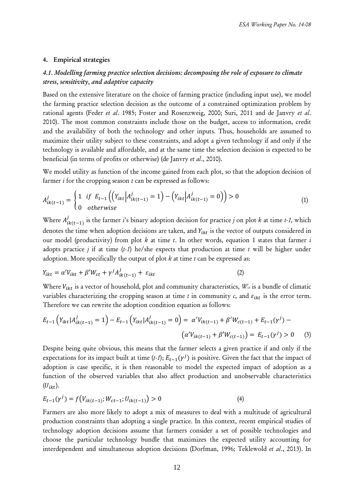#### <span id="page-17-0"></span>4. Empirical strategies

# <span id="page-17-1"></span>*4.1. Modelling farming practice selection decisions: decomposing the role of exposure to climate stress, sensitivity, and adaptive capacity*

Based on the extensive literature on the choice of farming practice (including input use), we model the farming practice selection decision as the outcome of a constrained optimization problem by rational agents (Feder *et al*. 1985; Foster and Rosenzweig, 2000; Suri, 2011 and de Janvry *et al*. 2010). The most common constraints include those on the budget, access to information, credit and the availability of both the technology and other inputs. Thus, households are assumed to maximize their utility subject to these constraints, and adopt a given technology if and only if the technology is available and affordable, and at the same time the selection decision is expected to be beneficial (in terms of profits or otherwise) (de Janvry *et al*., 2010).

We model utility as function of the income gained from each plot, so that the adoption decision of farmer *i* for the cropping season *t* can be expressed as follows:

$$
A_{ik(t-1)}^j = \begin{cases} 1 & \text{if } E_{t-1}((Y_{ikt}|A_{ik(t-1)}^j = 1) - (Y_{ikt}|A_{ik(t-1)}^j = 0)) > 0\\ 0 & \text{otherwise} \end{cases}
$$
(1)

Where  $A_{ik(t-1)}^j$  is the farmer *i*'s binary adoption decision for practice *j* on plot *k* at time *t-1*, which denotes the time when adoption decisions are taken, and  $Y_{ikt}$  is the vector of outputs considered in our model (productivity) from plot *k* at time *t*. In other words, equation 1 states that farmer *i* adopts practice *j* if at time (*t-1*) he/she expects that production at time *t* will be higher under adoption. More specifically the output of plot *k* at time *t* can be expressed as:

$$
Y_{ikt} = \alpha' V_{ikt} + \beta' W_{ct} + \gamma^j A_{ik(t-1)}^j + \varepsilon_{ikt}
$$
\n<sup>(2)</sup>

Where  $V_{ikt}$  is a vector of household, plot and community characteristics,  $W_{ct}$  is a bundle of climatic variables characterizing the cropping season at time  $t$  in community  $c$ , and  $\varepsilon_{ikt}$  is the error term. Therefore we can rewrite the adoption condition equation as follows:

$$
E_{t-1}\left(Y_{ikt}|A_{ik(t-1)}^j=1\right)-E_{t-1}\left(Y_{ikt}|A_{ik(t-1)}^j=0\right)=\alpha'V_{ik(t-1)}+\beta'W_{c(t-1)}+E_{t-1}(\gamma^j)-\left(\alpha'V_{ik(t-1)}+\beta'W_{c(t-1)}\right)=E_{t-1}(\gamma^j)>0\tag{3}
$$

Despite being quite obvious, this means that the farmer selects a given practice if and only if the expectations for its impact built at time  $(t-1)$ ;  $E_{t-1}(\gamma^j)$  is positive. Given the fact that the impact of adoption is case specific, it is then reasonable to model the expected impact of adoption as a function of the observed variables that also affect production and unobservable characteristics  $(U_{ikt}).$ 

$$
E_{t-1}(\gamma^j) = f\big(V_{ik(t-1)}; W_{ct-1}; U_{ik(t-1)}\big) > 0\tag{4}
$$

Farmers are also more likely to adopt a mix of measures to deal with a multitude of agricultural production constraints than adopting a single practice. In this context, recent empirical studies of technology adoption decisions assume that farmers consider a set of possible technologies and choose the particular technology bundle that maximizes the expected utility accounting for interdependent and simultaneous adoption decisions (Dorfman, 1996; Teklewold *et al*., 2013). In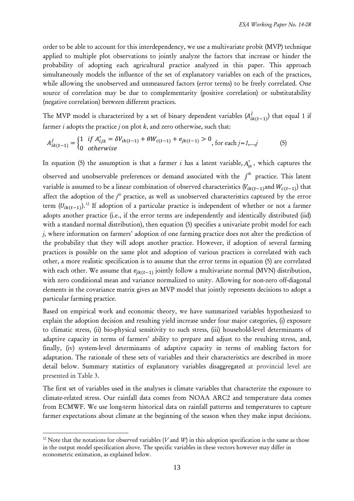order to be able to account for this interdependency, we use a multivariate probit (MVP) technique applied to multiple plot observations to jointly analyze the factors that increase or hinder the probability of adopting each agricultural practice analyzed in this paper. This approach simultaneously models the influence of the set of explanatory variables on each of the practices, while allowing the unobserved and unmeasured factors (error terms) to be freely correlated. One source of correlation may be due to complementarity (positive correlation) or substitutability (negative correlation) between different practices.

The MVP model is characterized by a set of binary dependent variables  $(A<sup>j</sup><sub>ik(t-1)</sub>)$  that equal 1 if farmer *i* adopts the practice *j* on plot *k*, and zero otherwise, such that:

$$
A_{ik(t-1)}^j = \begin{cases} 1 & \text{if } A_{ijk}^* = \delta V_{ik(t-1)} + \theta W_{c(t-1)} + e_{jk(t-1)} > 0\\ 0 & \text{otherwise} \end{cases}
$$
 for each  $j = 1,...,j$  (5)

In equation (5) the assumption is that a farmer *i* has a latent variable,  $A_{ijk}^*$ , which captures the observed and unobservable preferences or demand associated with the  $j<sup>th</sup>$  practice. This latent variable is assumed to be a linear combination of observed characteristics ( $V_{ik(t-1)}$ and  $W_{c(t-1)}$ ) that affect the adoption of the  $j<sup>th</sup>$  practice, as well as unobserved characteristics captured by the error term  $(U_{ik(t-1)})$ .<sup>[12](#page-13-0)</sup> If adoption of a particular practice is independent of whether or not a farmer adopts another practice (i.e., if the error terms are independently and identically distributed (iid) with a standard normal distribution), then equation (5) specifies a univariate probit model for each *j*, where information on farmers' adoption of one farming practice does not alter the prediction of the probability that they will adopt another practice. However, if adoption of several farming practices is possible on the same plot and adoption of various practices is correlated with each other, a more realistic specification is to assume that the error terms in equation (5) are correlated with each other. We assume that  $e_{ik(t-1)}$  jointly follow a multivariate normal (MVN) distribution, with zero conditional mean and variance normalized to unity. Allowing for non-zero off-diagonal elements in the covariance matrix gives an MVP model that jointly represents decisions to adopt a particular farming practice.

Based on empirical work and economic theory, we have summarized variables hypothesized to explain the adoption decision and resulting yield increase under four major categories, (i) exposure to climatic stress, (ii) bio-physical sensitivity to such stress, (iii) household-level determinants of adaptive capacity in terms of farmers' ability to prepare and adjust to the resulting stress, and, finally, (iv) system-level determinants of adaptive capacity in terms of enabling factors for adaptation. The rationale of these sets of variables and their characteristics are described in more detail below. Summary statistics of explanatory variables disaggregated at provincial level are presented in Table 3.

<span id="page-18-0"></span>The first set of variables used in the analyses is climate variables that characterize the exposure to climate-related stress. Our rainfall data comes from NOAA ARC2 and temperature data comes from ECMWF. We use long-term historical data on rainfall patterns and temperatures to capture farmer expectations about climate at the beginning of the season when they make input decisions.

<u>.</u>

<sup>&</sup>lt;sup>12</sup> Note that the notations for observed variables (*V* and *W*) in this adoption specification is the same as those in the output model specification above. The specific variables in these vectors however may differ in econometric estimation, as explained below.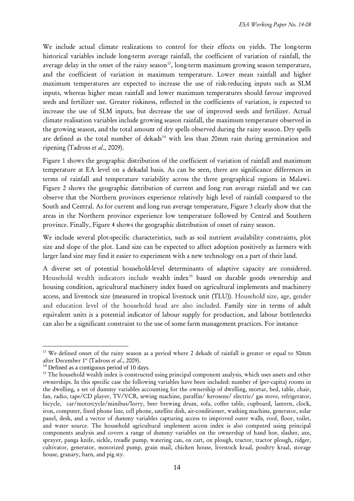We include actual climate realizations to control for their effects on yields. The long-term historical variables include long-term average rainfall, the coefficient of variation of rainfall, the average delay in the onset of the rainy season<sup>13</sup>, long-term maximum growing season temperature, and the coefficient of variation in maximum temperature. Lower mean rainfall and higher maximum temperatures are expected to increase the use of risk-reducing inputs such as SLM inputs, whereas higher mean rainfall and lower maximum temperatures should favour improved seeds and fertilizer use. Greater riskiness, reflected in the coefficients of variation, is expected to increase the use of SLM inputs, but decrease the use of improved seeds and fertilizer. Actual climate realisation variables include growing season rainfall, the maximum temperature observed in the growing season, and the total amount of dry spells observed during the rainy season. Dry spells are defined as the total number of dekads<sup>[14](#page-19-0)</sup> with less than 20mm rain during germination and ripening (Tadross *et al*., 2009).

Figure 1 shows the geographic distribution of the coefficient of variation of rainfall and maximum temperature at EA level on a dekadal basis. As can be seen, there are significance differences in terms of rainfall and temperature variability across the three geographical regions in Malawi. Figure 2 shows the geographic distribution of current and long run average rainfall and we can observe that the Northern provinces experience relatively high level of rainfall compared to the South and Central. As for current and long run average temperature, Figure 3 clearly show that the areas in the Northern province experience low temperature followed by Central and Southern province. Finally, Figure 4 shows the geographic distribution of onset of rainy season.

We include several plot-specific characteristics, such as soil nutrient availability constraints, plot size and slope of the plot. Land size can be expected to affect adoption positively as farmers with larger land size may find it easier to experiment with a new technology on a part of their land.

A diverse set of potential household-level determinants of adaptive capacity are considered. Household wealth indicators include wealth index<sup>[15](#page-19-1)</sup> based on durable goods ownership and housing condition, agricultural machinery index based on agricultural implements and machinery access, and livestock size (measured in tropical livestock unit (TLU)). Household size, age, gender and education level of the household head are also included. Family size in terms of adult equivalent units is a potential indicator of labour supply for production, and labour bottlenecks can also be a significant constraint to the use of some farm management practices. For instance

<sup>-</sup><sup>13</sup> We defined onset of the rainy season as a period where 2 dekads of rainfall is greater or equal to 50mm

after December 1<sup>st</sup> (Tadross *et al.*, 2009).<br><sup>14</sup> Defined as a contiguous period of 10 days.

<span id="page-19-2"></span><span id="page-19-1"></span><span id="page-19-0"></span><sup>&</sup>lt;sup>15</sup> The household wealth index is constructed using principal component analysis, which uses assets and other ownerships. In this specific case the following variables have been included: number of (per-capita) rooms in the dwelling, a set of dummy variables accounting for the ownership of dwelling, mortar, bed, table, chair, fan, radio, tape/CD player, TV/VCR, sewing machine, paraffin/ kerosene/ electric/ gas stove, refrigerator, bicycle, car/motorcycle/minibus/lorry, beer brewing drum, sofa, coffee table, cupboard, lantern, clock, iron, computer, fixed phone line, cell phone, satellite dish, air-conditioner, washing machine, generator, solar panel, desk, and a vector of dummy variables capturing access to improved outer walls, roof, floor, toilet, and water source. The household agricultural implement access index is also computed using principal components analysis and covers a range of dummy variables on the ownership of hand hoe, slasher, axe, sprayer, panga knife, sickle, treadle pump, watering can, ox cart, ox plough, tractor, tractor plough, ridger, cultivator, generator, motorized pump, grain mail, chicken house, livestock kraal, poultry kraal, storage house, granary, barn, and pig sty.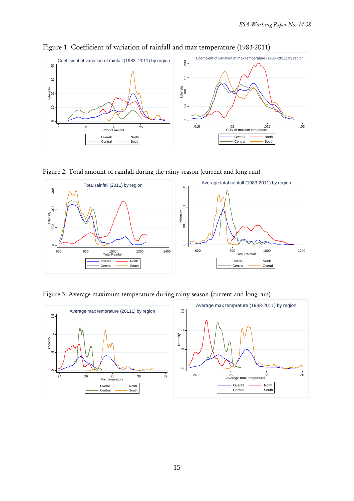

Figure 1. Coefficient of variation of rainfall and max temperature (1983-2011)





Figure 3. Average maximum temperature during rainy season (current and long run)

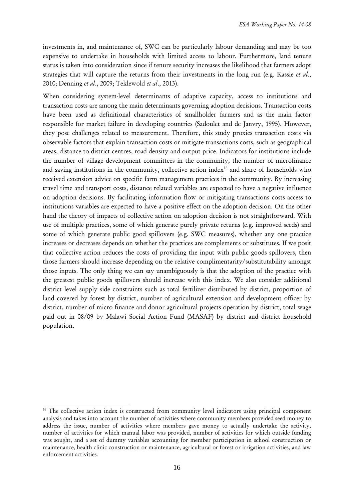investments in, and maintenance of, SWC can be particularly labour demanding and may be too expensive to undertake in households with limited access to labour. Furthermore, land tenure status is taken into consideration since if tenure security increases the likelihood that farmers adopt strategies that will capture the returns from their investments in the long run (e.g. Kassie *et al*., 2010; Denning *et al*., 2009; Teklewold *et al*., 2013).

When considering system-level determinants of adaptive capacity, access to institutions and transaction costs are among the main determinants governing adoption decisions. Transaction costs have been used as definitional characteristics of smallholder farmers and as the main factor responsible for market failure in developing countries (Sadoulet and de Janvry, 1995). However, they pose challenges related to measurement. Therefore, this study proxies transaction costs via observable factors that explain transaction costs or mitigate transactions costs, such as geographical areas, distance to district centres, road density and output price. Indicators for institutions include the number of village development committees in the community, the number of microfinance and saving institutions in the community, collective action index<sup>16</sup> and share of households who received extension advice on specific farm management practices in the community. By increasing travel time and transport costs, distance related variables are expected to have a negative influence on adoption decisions. By facilitating information flow or mitigating transactions costs access to institutions variables are expected to have a positive effect on the adoption decision. On the other hand the theory of impacts of collective action on adoption decision is not straightforward. With use of multiple practices, some of which generate purely private returns (e.g. improved seeds) and some of which generate public good spillovers (e.g. SWC measures), whether any one practice increases or decreases depends on whether the practices are complements or substitutes. If we posit that collective action reduces the costs of providing the input with public goods spillovers, then those farmers should increase depending on the relative complimentarity/substitutability amongst those inputs. The only thing we can say unambiguously is that the adoption of the practice with the greatest public goods spillovers should increase with this index. We also consider additional district level supply side constraints such as total fertilizer distributed by district, proportion of land covered by forest by district, number of agricultural extension and development officer by district, number of micro finance and donor agricultural projects operation by district, total wage paid out in 08/09 by Malawi Social Action Fund (MASAF) by district and district household population.

-

<span id="page-21-0"></span><sup>&</sup>lt;sup>16</sup> The collective action index is constructed from community level indicators using principal component analysis and takes into account the number of activities where community members provided seed money to address the issue, number of activities where members gave money to actually undertake the activity, number of activities for which manual labor was provided, number of activities for which outside funding was sought, and a set of dummy variables accounting for member participation in school construction or maintenance, health clinic construction or maintenance, agricultural or forest or irrigation activities, and law enforcement activities.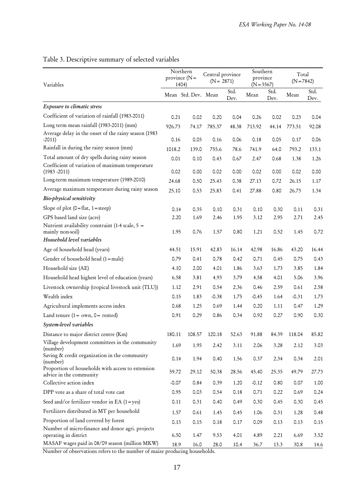| Variables                                                                                                            | Northern<br>province $(N =$<br>1404) |                     | Central province<br>$(N = 2871)$ |              | Southern<br>province<br>$(N = 3567)$ |              | Total<br>$(N = 7842)$ |              |
|----------------------------------------------------------------------------------------------------------------------|--------------------------------------|---------------------|----------------------------------|--------------|--------------------------------------|--------------|-----------------------|--------------|
|                                                                                                                      |                                      | Mean Std. Dev. Mean |                                  | Std.<br>Dev. | Mean                                 | Std.<br>Dev. | Mean                  | Std.<br>Dev. |
| <b>Exposure to climatic stress</b>                                                                                   |                                      |                     |                                  |              |                                      |              |                       |              |
| Coefficient of variation of rainfall (1983-2011)                                                                     | 0.21                                 | 0.02                | 0.20                             | 0.04         | 0.26                                 | 0.02         | 0.23                  | 0.04         |
| Long term mean rainfall (1983-2011) (mm)                                                                             | 926.73                               | 74.17               | 785.37                           | 48.38        | 713.92                               | 44.14        | 773.51                | 92.08        |
| Average delay in the onset of the rainy season (1983<br>$-2011)$                                                     | 0.16                                 | 0.05                | 0.16                             | 0.06         | 0.18                                 | 0.05         | 0.17                  | 0.06         |
| Rainfall in during the rainy season (mm)                                                                             | 1018.2                               | 139.0               | 755.6                            | 78.6         | 741.9                                | 64.0         | 793.2                 | 133.1        |
| Total amount of dry spells during rainy season<br>Coefficient of variation of maximum temperature<br>$(1983 - 2011)$ | 0.01<br>0.02                         | 0.10<br>0.00        | 0.43<br>0.02                     | 0.67<br>0.00 | 2.47<br>0.02                         | 0.68<br>0.00 | 1.38<br>0.02          | 1.26<br>0.00 |
| Long-term maximum temperature (1989-2010)                                                                            | 24.68                                | 0.50                | 25.43                            | 0.38         | 27.13                                | 0.72         | 26.15                 | 1.17         |
| Average maximum temperature during rainy season                                                                      | 25.10                                | 0.53                | 25.83                            | 0.41         | 27.88                                | 0.80         | 26.73                 | 1.34         |
| Bio-physical sensitivity                                                                                             |                                      |                     |                                  |              |                                      |              |                       |              |
| Slope of plot $(0 = flat, 1 = steep)$                                                                                | 0.14                                 | 0.35                | 0.10                             | 0.31         | 0.10                                 | 0.30         | 0.11                  | 0.31         |
| GPS based land size (acre)                                                                                           | 2.20                                 | 1.69                | 2.46                             | 1.95         | 3.12                                 | 2.95         | 2.71                  | 2.45         |
| Nutrient availability constraint (1-4 scale, 5 =<br>mainly non-soil)                                                 | 1.95                                 | 0.76                | 1.57                             | 0.80         | 1.21                                 | 0.52         | 1.45                  | 0.72         |
| Household level variables                                                                                            |                                      |                     |                                  |              |                                      |              |                       |              |
| Age of household head (years)                                                                                        | 44.51                                | 15.91               | 42.83                            | 16.14        | 42.98                                | 16.86        | 43.20                 | 16.44        |
| Gender of household head (1=male)                                                                                    | 0.79                                 | 0.41                | 0.78                             | 0.42         | 0.71                                 | 0.45         | 0.75                  | 0.43         |
| Household size (AE)                                                                                                  | 4.10                                 | 2.00                | 4.01                             | 1.86         | 3.63                                 | 1.73         | 3.85                  | 1.84         |
| Household head highest level of education (years)                                                                    | 6.58                                 | 3.81                | 4.93                             | 3.79         | 4.58                                 | 4.01         | 5.06                  | 3.96         |
| Livestock ownership (tropical livestock unit (TLU))                                                                  | 1.12                                 | 2.91                | 0.54                             | 2.36         | 0.46                                 | 2.59         | 0.61                  | 2.58         |
| Wealth index                                                                                                         | 0.15                                 | 1.83                | $-0.38$                          | 1.75         | $-0.45$                              | 1.64         | $-0.31$               | 1.73         |
| Agricultural implements access index                                                                                 | 0.68                                 | 1.25                | 0.69                             | 1.44         | 0.20                                 | 1.11         | 0.47                  | 1.29         |
| Land tenure $(1 = own, 0 = rented)$                                                                                  | 0.91                                 | 0.29                | 0.86                             | 0.34         | 0.92                                 | 0.27         | 0.90                  | 0.30         |
| System-level variables                                                                                               |                                      |                     |                                  |              |                                      |              |                       |              |
| Distance to major district centre (Km)                                                                               | 180.11                               | 108.5/              | 120.18                           | 52.63        | 91.88                                | 84.39        | 118.04                | 85.82        |
| Village development committees in the community<br>(number)                                                          | 1.69                                 | 1.95                | 2.42                             | 3.11         | 2.06                                 | 3.28         | 2.12                  | 3.03         |
| Saving & credit organization in the community<br>(number)<br>Proportion of households with access to extension       | 0.14                                 | 1.94                | 0.40                             | 1.56         | 0.37                                 | 2.34         | 0.34                  | 2.01         |
| advice in the community                                                                                              | 59.72                                | 29.12               | 50.38                            | 28.56        | 45.40                                | 25.35        | 49.79                 | 27.73        |
| Collective action index                                                                                              | $-0.07$                              | 0.84                | 0.39                             | 1.20         | $-0.12$                              | 0.80         | 0.07                  | 1.00         |
| DPP vote as a share of total vote cast                                                                               | 0.95                                 | 0.03                | 0.54                             | 0.18         | 0.71                                 | 0.22         | 0.69                  | 0.24         |
| Seed and/or fertilizer vendor in EA $(1 = yes)$                                                                      | 0.11                                 | 0.31                | 0.40                             | 0.49         | 0.30                                 | 0.45         | 0.30                  | 0.45         |
| Fertilizers distributed in MT per household                                                                          | 1.57                                 | 0.61                | 1.45                             | 0.45         | 1.06                                 | 0.31         | 1.28                  | 0.48         |
| Proportion of land covered by forest<br>Number of micro-finance and donor agri. projects                             | 0.13                                 | 0.15                | 0.18                             | 0.17         | 0.09                                 | 0.13         | 0.13                  | 0.15         |
| operating in district                                                                                                | 6.50                                 | 1.47                | 9.53                             | 4.01         | 4.89                                 | 2.21         | 6.69                  | 3.52         |
| MASAF wages paid in 08/09 season (million MKW)                                                                       | 18.9                                 | 16.0                | 28.0                             | 10.4         | 36.7                                 | 13.3         | 30.8                  | 14.6         |

# Table 3. Descriptive summary of selected variables

Number of observations refers to the number of maize producing households.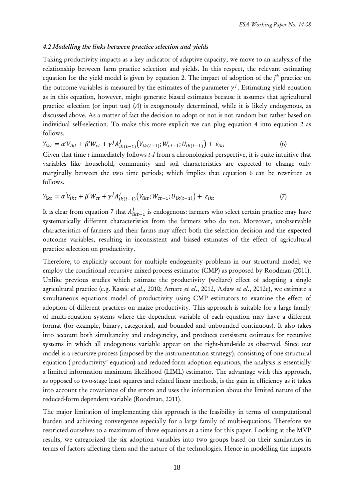#### <span id="page-23-0"></span>*4.2 Modelling the links between practice selection and yields*

Taking productivity impacts as a key indicator of adaptive capacity, we move to an analysis of the relationship between farm practice selection and yields. In this respect, the relevant estimating equation for the yield model is given by equation 2. The impact of adoption of the  $j<sup>th</sup>$  practice on the outcome variables is measured by the estimates of the parameter  $\gamma^{j}$ . Estimating yield equation as in this equation, however, might generate biased estimates because it assumes that agricultural practice selection (or input use) (*A*) is exogenously determined, while it is likely endogenous, as discussed above. As a matter of fact the decision to adopt or not is not random but rather based on individual self-selection. To make this more explicit we can plug equation 4 into equation 2 as follows.

$$
Y_{ikt} = \alpha' V_{ikt} + \beta' W_{ct} + \gamma^j A_{ik(t-1)}^j (V_{ik(t-1)}; W_{ct-1}; U_{ik(t-1)}) + \varepsilon_{ikt}
$$
\n(6)

Given that time *t* immediately follows *t-1* from a chronological perspective, it is quite intuitive that variables like household, community and soil characteristics are expected to change only marginally between the two time periods; which implies that equation 6 can be rewritten as follows.

$$
Y_{ikt} = \alpha' V_{ikt} + \beta' W_{ct} + \gamma^j A_{ik(t-1)}^j (V_{ikt}; W_{ct-1}; U_{ik(t-1)}) + \varepsilon_{ikt}
$$
\n(7)

It is clear from equation 7 that  $A_{ikt-1}^j$  is endogenous: farmers who select certain practice may have systematically different characteristics from the farmers who do not. Moreover, unobservable characteristics of farmers and their farms may affect both the selection decision and the expected outcome variables, resulting in inconsistent and biased estimates of the effect of agricultural practice selection on productivity.

Therefore, to explicitly account for multiple endogeneity problems in our structural model, we employ the conditional recursive mixed-process estimator (CMP) as proposed by Roodman (2011). Unlike previous studies which estimate the productivity (welfare) effect of adopting a single agricultural practice (e.g. Kassie *et al*., 2010; Amare *et al*., 2012, Asfaw *et al*., 2012c), we estimate a simultaneous equations model of productivity using CMP estimators to examine the effect of adoption of different practices on maize productivity. This approach is suitable for a large family of multi-equation systems where the dependent variable of each equation may have a different format (for example, binary, categorical, and bounded and unbounded continuous). It also takes into account both simultaneity and endogeneity, and produces consistent estimates for recursive systems in which all endogenous variable appear on the right-hand-side as observed. Since our model is a recursive process (imposed by the instrumentation strategy), consisting of one structural equation ('productivity' equation) and reduced-form adoption equations, the analysis is essentially a limited information maximum likelihood (LIML) estimator. The advantage with this approach, as opposed to two-stage least squares and related linear methods, is the gain in efficiency as it takes into account the covariance of the errors and uses the information about the limited nature of the reduced-form dependent variable (Roodman, 2011).

The major limitation of implementing this approach is the feasibility in terms of computational burden and achieving convergence especially for a large family of multi-equations. Therefore we restricted ourselves to a maximum of three equations at a time for this paper. Looking at the MVP results, we categorized the six adoption variables into two groups based on their similarities in terms of factors affecting them and the nature of the technologies. Hence in modelling the impacts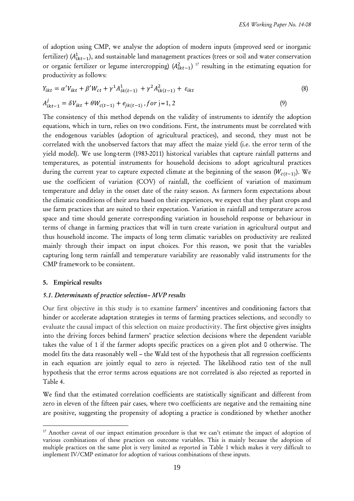of adoption using CMP, we analyse the adoption of modern inputs (improved seed or inorganic fertilizer)  $(A_{ikt-1}^1)$ , and sustainable land management practices (trees or soil and water conservation or organic fertilizer or legume intercropping)  $(A_{ikt-1}^2)^{-17}$  $(A_{ikt-1}^2)^{-17}$  $(A_{ikt-1}^2)^{-17}$  resulting in the estimating equation for productivity as follows:

$$
Y_{ikt} = \alpha' V_{ikt} + \beta' W_{ct} + \gamma^1 A_{ik(t-1)}^1 + \gamma^2 A_{ik(t-1)}^2 + \varepsilon_{ikt}
$$
  
\n
$$
A_{ikt-1}^j = \delta V_{ikt} + \theta W_{c(t-1)} + e_{jk(t-1)}, \text{for } j = 1, 2
$$
\n(9)

The consistency of this method depends on the validity of instruments to identify the adoption equations, which in turn, relies on two conditions. First, the instruments must be correlated with the endogenous variables (adoption of agricultural practices), and second, they must not be correlated with the unobserved factors that may affect the maize yield (i.e. the error term of the yield model). We use long-term (1983-2011) historical variables that capture rainfall patterns and temperatures, as potential instruments for household decisions to adopt agricultural practices during the current year to capture expected climate at the beginning of the season  $(W_{c(t-1)})$ . We use the coefficient of variation (COV) of rainfall, the coefficient of variation of maximum temperature and delay in the onset date of the rainy season. As farmers form expectations about the climatic conditions of their area based on their experiences, we expect that they plant crops and use farm practices that are suited to their expectation. Variation in rainfall and temperature across space and time should generate corresponding variation in household response or behaviour in terms of change in farming practices that will in turn create variation in agricultural output and thus household income. The impacts of long term climatic variables on productivity are realized mainly through their impact on input choices. For this reason, we posit that the variables capturing long term rainfall and temperature variability are reasonably valid instruments for the CMP framework to be consistent.

#### <span id="page-24-0"></span>5. Empirical results

-

#### <span id="page-24-1"></span>*5.1. Determinants of practice selection– MVP results*

Our first objective in this study is to examine farmers' incentives and conditioning factors that hinder or accelerate adaptation strategies in terms of farming practices selections, and secondly to evaluate the causal impact of this selection on maize productivity. The first objective gives insights into the driving forces behind farmers' practice selection decisions where the dependent variable takes the value of 1 if the farmer adopts specific practices on a given plot and 0 otherwise. The model fits the data reasonably well – the Wald test of the hypothesis that all regression coefficients in each equation are jointly equal to zero is rejected. The likelihood ratio test of the null hypothesis that the error terms across equations are not correlated is also rejected as reported in Table 4.

<span id="page-24-2"></span>We find that the estimated correlation coefficients are statistically significant and different from zero in eleven of the fifteen pair cases, where two coefficients are negative and the remaining nine are positive, suggesting the propensity of adopting a practice is conditioned by whether another

<sup>&</sup>lt;sup>17</sup> Another caveat of our impact estimation procedure is that we can't estimate the impact of adoption of various combinations of these practices on outcome variables. This is mainly because the adoption of multiple practices on the same plot is very limited as reported in Table 1 which makes it very difficult to implement IV/CMP estimator for adoption of various combinations of these inputs.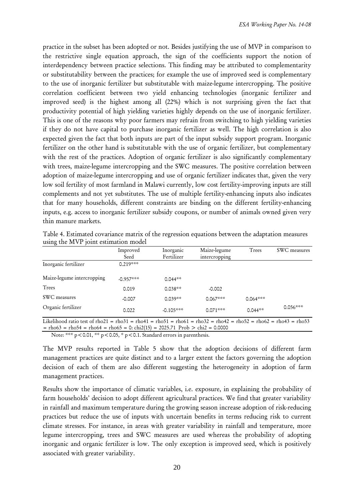practice in the subset has been adopted or not. Besides justifying the use of MVP in comparison to the restrictive single equation approach, the sign of the coefficients support the notion of interdependency between practice selections. This finding may be attributed to complementarity or substitutability between the practices; for example the use of improved seed is complementary to the use of inorganic fertilizer but substitutable with maize-legume intercropping. The positive correlation coefficient between two yield enhancing technologies (inorganic fertilizer and improved seed) is the highest among all (22%) which is not surprising given the fact that productivity potential of high yielding varieties highly depends on the use of inorganic fertilizer. This is one of the reasons why poor farmers may refrain from switching to high yielding varieties if they do not have capital to purchase inorganic fertilizer as well. The high correlation is also expected given the fact that both inputs are part of the input subsidy support program. Inorganic fertilizer on the other hand is substitutable with the use of organic fertilizer, but complementary with the rest of the practices. Adoption of organic fertilizer is also significantly complementary with trees, maize-legume intercropping and the SWC measures. The positive correlation between adoption of maize-legume intercropping and use of organic fertilizer indicates that, given the very low soil fertility of most farmland in Malawi currently, low cost fertility-improving inputs are still complements and not yet substitutes. The use of multiple fertility-enhancing inputs also indicates that for many households, different constraints are binding on the different fertility-enhancing inputs, e.g. access to inorganic fertilizer subsidy coupons, or number of animals owned given very thin manure markets.

|                            | Improved<br>Seed | Inorganic<br>Fertilizer | Maize-legume<br>intercropping | Trees      | SWC measures |
|----------------------------|------------------|-------------------------|-------------------------------|------------|--------------|
| Inorganic fertilizer       | $0.219***$       |                         |                               |            |              |
| Maize-legume intercropping | $-0.957***$      | $0.044**$               |                               |            |              |
| Trees                      | 0.019            | $0.038**$               | $-0.002$                      |            |              |
| SWC measures               | $-0.007$         | $0.039**$               | $0.067***$                    | $0.064***$ |              |
| Organic fertilizer         | 0.022            | $-0.105***$             | $0.071***$                    | $0.044**$  | $0.056***$   |

| Table 4. Estimated covariance matrix of the regression equations between the adaptation measures |  |  |  |
|--------------------------------------------------------------------------------------------------|--|--|--|
| using the MVP joint estimation model                                                             |  |  |  |

Likelihood ratio test of rho21 = rho31 = rho41 = rho51 =  $r \cdot h \cdot 632 = r \cdot h \cdot 642 = r \cdot h \cdot 642 = r \cdot h \cdot 643 = r \cdot h \cdot 653$  $=$  rho63 = rho54 = rho64 = rho65 = 0: chi2(15) = 2025.71 Prob > chi2 = 0.0000

Note: \*\*\*  $p < 0.01$ , \*\*  $p < 0.05$ , \*  $p < 0.1$ . Standard errors in parenthesis.

The MVP results reported in Table 5 show that the adoption decisions of different farm management practices are quite distinct and to a larger extent the factors governing the adoption decision of each of them are also different suggesting the heterogeneity in adoption of farm management practices.

Results show the importance of climatic variables, i.e. exposure, in explaining the probability of farm households' decision to adopt different agricultural practices. We find that greater variability in rainfall and maximum temperature during the growing season increase adoption of risk-reducing practices but reduce the use of inputs with uncertain benefits in terms reducing risk to current climate stresses. For instance, in areas with greater variability in rainfall and temperature, more legume intercropping, trees and SWC measures are used whereas the probability of adopting inorganic and organic fertilizer is low. The only exception is improved seed, which is positively associated with greater variability.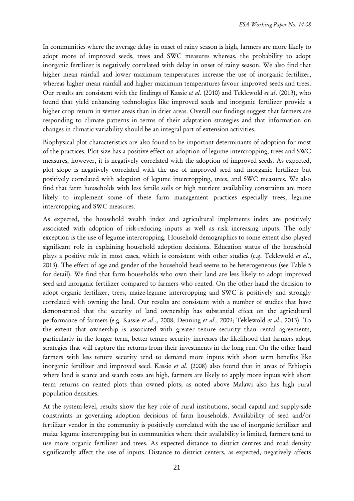In communities where the average delay in onset of rainy season is high, farmers are more likely to adopt more of improved seeds, trees and SWC measures whereas, the probability to adopt inorganic fertilizer is negatively correlated with delay in onset of rainy season. We also find that higher mean rainfall and lower maximum temperatures increase the use of inorganic fertilizer, whereas higher mean rainfall and higher maximum temperatures favour improved seeds and trees. Our results are consistent with the findings of Kassie *et al*. (2010) and Teklewold *et al*. (2013), who found that yield enhancing technologies like improved seeds and inorganic fertilizer provide a higher crop return in wetter areas than in drier areas. Overall our findings suggest that farmers are responding to climate patterns in terms of their adaptation strategies and that information on changes in climatic variability should be an integral part of extension activities.

Biophysical plot characteristics are also found to be important determinants of adoption for most of the practices. Plot size has a positive effect on adoption of legume intercropping, trees and SWC measures, however, it is negatively correlated with the adoption of improved seeds. As expected, plot slope is negatively correlated with the use of improved seed and inorganic fertilizer but positively correlated with adoption of legume intercropping, trees, and SWC measures. We also find that farm households with less fertile soils or high nutrient availability constraints are more likely to implement some of these farm management practices especially trees, legume intercropping and SWC measures.

As expected, the household wealth index and agricultural implements index are positively associated with adoption of risk-reducing inputs as well as risk increasing inputs. The only exception is the use of legume intercropping. Household demographics to some extent also played significant role in explaining household adoption decisions. Education status of the household plays a positive role in most cases, which is consistent with other studies (e.g. Teklewold *et al*., 2013). The effect of age and gender of the household head seems to be heterogeneous (see Table 5 for detail). We find that farm households who own their land are less likely to adopt improved seed and inorganic fertilizer compared to farmers who rented. On the other hand the decision to adopt organic fertilizer, trees, maize-legume intercropping and SWC is positively and strongly correlated with owning the land. Our results are consistent with a number of studies that have demonstrated that the security of land ownership has substantial effect on the agricultural performance of farmers (e.g. Kassie *et al*.,, 2008; Denning *et al*., 2009; Teklewold *et al*., 2013). To the extent that ownership is associated with greater tenure security than rental agreements, particularly in the longer term, better tenure security increases the likelihood that farmers adopt strategies that will capture the returns from their investments in the long run. On the other hand farmers with less tenure security tend to demand more inputs with short term benefits like inorganic fertilizer and improved seed. Kassie *et al*. (2008) also found that in areas of Ethiopia where land is scarce and search costs are high, farmers are likely to apply more inputs with short term returns on rented plots than owned plots; as noted above Malawi also has high rural population densities.

At the system-level, results show the key role of rural institutions, social capital and supply-side constraints in governing adoption decisions of farm households. Availability of seed and/or fertilizer vendor in the community is positively correlated with the use of inorganic fertilizer and maize legume intercropping but in communities where their availability is limited, farmers tend to use more organic fertilizer and trees. As expected distance to district centres and road density significantly affect the use of inputs. Distance to district centers, as expected, negatively affects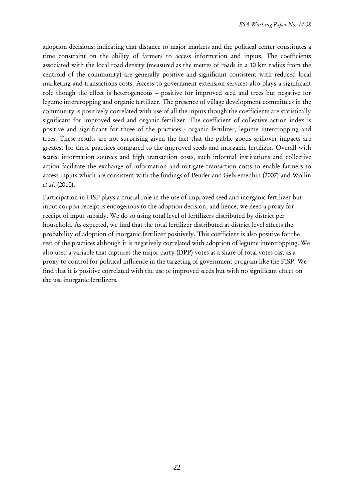adoption decisions; indicating that distance to major markets and the political center constitutes a time constraint on the ability of farmers to access information and inputs. The coefficients associated with the local road density (measured as the metres of roads in a 10 km radius from the centroid of the community) are generally positive and significant consistent with reduced local marketing and transactions costs. Access to government extension services also plays a significant role though the effect is heterogeneous – positive for improved seed and trees but negative for legume intercropping and organic fertilizer. The presence of village development committees in the community is positively correlated with use of all the inputs though the coefficients are statistically significant for improved seed and organic fertilizer. The coefficient of collective action index is positive and significant for three of the practices - organic fertilizer, legume intercropping and trees. These results are not surprising given the fact that the public goods spillover impacts are greatest for these practices compared to the improved seeds and inorganic fertilizer. Overall with scarce information sources and high transaction costs, such informal institutions and collective action facilitate the exchange of information and mitigate transaction costs to enable farmers to access inputs which are consistent with the findings of Pender and Gebremedhin (2007) and Wollin *et al*. (2010).

Participation in FISP plays a crucial role in the use of improved seed and inorganic fertilizer but input coupon receipt is endogenous to the adoption decision, and hence, we need a proxy for receipt of input subsidy. We do so using total level of fertilizers distributed by district per household. As expected, we find that the total fertilizer distributed at district level affects the probability of adoption of inorganic fertilizer positively. This coefficient is also positive for the rest of the practices although it is negatively correlated with adoption of legume intercropping. We also used a variable that captures the major party (DPP) votes as a share of total votes cast as a proxy to control for political influence in the targeting of government program like the FISP. We find that it is positive correlated with the use of improved seeds but with no significant effect on the use inorganic fertilizers.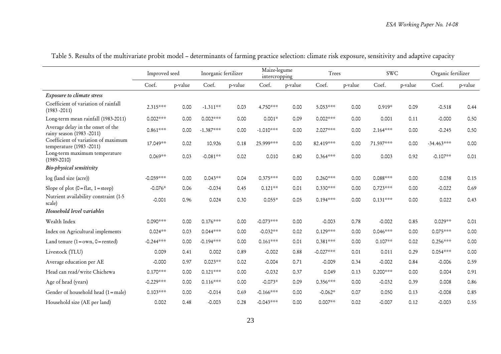|                                                                 | Improved seed |         | Inorganic fertilizer |         | Maize-legume<br>intercropping |         | Trees       |         | <b>SWC</b> |         | Organic fertilizer |         |
|-----------------------------------------------------------------|---------------|---------|----------------------|---------|-------------------------------|---------|-------------|---------|------------|---------|--------------------|---------|
|                                                                 | Coef.         | p-value | Coef.                | p-value | Coef.                         | p-value | Coef.       | p-value | Coef.      | p-value | Coef.              | p-value |
| <b>Exposure to climate stress</b>                               |               |         |                      |         |                               |         |             |         |            |         |                    |         |
| Coefficient of variation of rainfall<br>$(1983 - 2011)$         | $2.315***$    | 0.00    | $-1.311**$           | 0.03    | 4.750***                      | 0.00    | 5.053***    | 0.00    | $0.919*$   | 0.09    | $-0.518$           | 0.44    |
| Long-term mean rainfall (1983-2011)                             | $0.002***$    | 0.00    | $0.002***$           | 0.00    | $0.001*$                      | 0.09    | $0.002***$  | 0.00    | 0.001      | 0.11    | $-0.000$           | 0.50    |
| Average delay in the onset of the<br>rainy season (1983 -2011)  | $0.861***$    | 0.00    | $-1.387***$          | 0.00    | $-1.010***$                   | 0.00    | 2.027***    | 0.00    | $2.164***$ | 0.00    | $-0.245$           | 0.50    |
| Coefficient of variation of maximum<br>temperature (1983 -2011) | 17.049**      | 0.02    | 10.926               | 0.18    | 25.999***                     | 0.00    | 82.419***   | 0.00    | 71.597***  | 0.00    | $-34.463***$       | 0.00    |
| Long-term maximum temperature<br>$(1989 - 2010)$                | $0.069**$     | 0.03    | $-0.081**$           | 0.02    | 0.010                         | 0.80    | $0.364***$  | 0.00    | 0.003      | 0.92    | $-0.107**$         | 0.01    |
| Bio-physical sensitivity                                        |               |         |                      |         |                               |         |             |         |            |         |                    |         |
| log (land size (acre))                                          | $-0.059***$   | 0.00    | $0.043**$            | 0.04    | $0.375***$                    | 0.00    | $0.260***$  | 0.00    | $0.088***$ | 0.00    | 0.038              | 0.15    |
| Slope of plot $(0 = flat, 1 = steep)$                           | $-0.076*$     | 0.06    | $-0.034$             | 0.45    | $0.121**$                     | 0.01    | $0.330***$  | 0.00    | $0.723***$ | 0.00    | $-0.022$           | 0.69    |
| Nutrient availability constraint (1-5<br>scale)                 | $-0.001$      | 0.96    | 0.024                | 0.30    | $0.055*$                      | 0.05    | $0.194***$  | 0.00    | $0.131***$ | 0.00    | 0.022              | 0.43    |
| Household level variables                                       |               |         |                      |         |                               |         |             |         |            |         |                    |         |
| Wealth Index                                                    | $0.090***$    | 0.00    | $0.176***$           | 0.00    | $-0.073***$                   | 0.00    | $-0.003$    | 0.78    | $-0.002$   | 0.85    | $0.029**$          | 0.01    |
| Index on Agricultural implements                                | $0.024**$     | 0.03    | $0.044***$           | 0.00    | $-0.032**$                    | 0.02    | $0.129***$  | 0.00    | $0.046***$ | 0.00    | $0.075***$         | 0.00    |
| Land tenure $(1 = own, 0 = rented)$                             | $-0.244***$   | 0.00    | $-0.194***$          | 0.00    | $0.161***$                    | 0.01    | $0.381***$  | 0.00    | $0.107**$  | 0.02    | $0.256***$         | 0.00    |
| Livestock (TLU)                                                 | 0.009         | 0.41    | 0.002                | 0.89    | $-0.002$                      | 0.88    | $-0.027***$ | 0.01    | 0.011      | 0.29    | $0.054***$         | 0.00    |
| Average education per AE                                        | $-0.000$      | 0.97    | $0.023**$            | 0.02    | $-0.004$                      | 0.71    | $-0.009$    | 0.34    | $-0.002$   | 0.84    | $-0.006$           | 0.59    |
| Head can read/write Chichewa                                    | $0.170***$    | 0.00    | $0.121***$           | 0.00    | $-0.032$                      | 0.37    | 0.049       | 0.13    | $0.200***$ | 0.00    | 0.004              | 0.91    |
| Age of head (years)                                             | $-0.229***$   | 0.00    | $0.116***$           | 0.00    | $-0.073*$                     | 0.09    | $0.356***$  | 0.00    | $-0.032$   | 0.39    | 0.008              | 0.86    |
| Gender of household head (1=male)                               | $0.103***$    | 0.00    | $-0.014$             | 0.69    | $-0.166***$                   | 0.00    | $-0.062*$   | 0.07    | 0.050      | 0.13    | $-0.008$           | 0.85    |
| Household size (AE per land)                                    | 0.002         | 0.48    | $-0.003$             | 0.28    | $-0.043***$                   | 0.00    | $0.007**$   | 0.02    | $-0.007$   | 0.12    | $-0.003$           | 0.55    |

Table 5. Results of the multivariate probit model – determinants of farming practice selection: climate risk exposure, sensitivity and adaptive capacity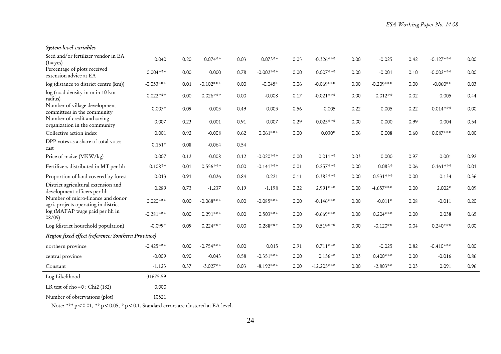*System-level variables* 

| Seed and/or fertilizer vendor in EA<br>$(1 = yes)$                        | 0.040       | 0.20 | $0.074**$   | 0.03 | $0.073**$   | 0.05 | $-0.326***$  | 0.00 | $-0.025$    | 0.42 | $-0.127***$ | 0.00 |
|---------------------------------------------------------------------------|-------------|------|-------------|------|-------------|------|--------------|------|-------------|------|-------------|------|
| Percentage of plots received<br>extension advice at EA                    | $0.004***$  | 0.00 | 0.000       | 0.78 | $-0.002***$ | 0.00 | $0.007***$   | 0.00 | $-0.001$    | 0.10 | $-0.002***$ | 0.00 |
| log (distance to district centre (km))                                    | $-0.053***$ | 0.01 | $-0.102***$ | 0.00 | $-0.045*$   | 0.06 | $-0.069***$  | 0.00 | $-0.209***$ | 0.00 | $-0.060**$  | 0.03 |
| log (road density in m in 10 km<br>radius)                                | $0.022***$  | 0.00 | $0.026***$  | 0.00 | $-0.008$    | 0.17 | $-0.021***$  | 0.00 | $0.012**$   | 0.02 | 0.005       | 0.44 |
| Number of village development<br>committees in the community              | $0.007*$    | 0.09 | 0.003       | 0.49 | 0.003       | 0.56 | 0.005        | 0.22 | 0.005       | 0.22 | $0.014***$  | 0.00 |
| Number of credit and saving<br>organization in the community              | 0.007       | 0.23 | 0.001       | 0.91 | 0.007       | 0.29 | $0.025***$   | 0.00 | 0.000       | 0.99 | 0.004       | 0.54 |
| Collective action index                                                   | 0.001       | 0.92 | $-0.008$    | 0.62 | $0.061***$  | 0.00 | $0.030*$     | 0.06 | 0.008       | 0.60 | $0.087***$  | 0.00 |
| DPP votes as a share of total votes<br>cast                               | $0.151*$    | 0.08 | $-0.064$    | 0.54 |             |      |              |      |             |      |             |      |
| Price of maize (MKW/kg)                                                   | 0.007       | 0.12 | $-0.008$    | 0.12 | $-0.020***$ | 0.00 | $0.011**$    | 0.03 | 0.000       | 0.97 | 0.001       | 0.92 |
| Fertilizers distributed in MT per hh                                      | $0.108**$   | 0.01 | 0.556***    | 0.00 | $-0.141***$ | 0.01 | $0.257***$   | 0.00 | $0.083*$    | 0.06 | $0.161***$  | 0.01 |
| Proportion of land covered by forest                                      | 0.013       | 0.91 | $-0.026$    | 0.84 | 0.221       | 0.11 | $0.383***$   | 0.00 | $0.531***$  | 0.00 | 0.134       | 0.36 |
| District agricultural extension and<br>development officers per hh        | 0.289       | 0.73 | $-1.237$    | 0.19 | $-1.198$    | 0.22 | 2.991***     | 0.00 | $-4.657***$ | 0.00 | 2.002*      | 0.09 |
| Number of micro-finance and donor<br>agri. projects operating in district | $0.020***$  | 0.00 | $-0.068***$ | 0.00 | $-0.085***$ | 0.00 | $-0.146***$  | 0.00 | $-0.011*$   | 0.08 | $-0.011$    | 0.20 |
| log (MAFAP wage paid per hh in<br>08/09                                   | $-0.281***$ | 0.00 | $0.291***$  | 0.00 | $0.503***$  | 0.00 | $-0.669***$  | 0.00 | $0.204***$  | 0.00 | 0.038       | 0.65 |
| Log (district household population)                                       | $-0.099*$   | 0.09 | $0.224***$  | 0.00 | $0.288***$  | 0.00 | $0.519***$   | 0.00 | $-0.120**$  | 0.04 | $0.240***$  | 0.00 |
| Region fixed effect (reference: Southern Province)                        |             |      |             |      |             |      |              |      |             |      |             |      |
| northern province                                                         | $-0.425***$ | 0.00 | $-0.754***$ | 0.00 | 0.015       | 0.91 | $0.711***$   | 0.00 | $-0.025$    | 0.82 | $-0.410***$ | 0.00 |
| central province                                                          | $-0.009$    | 0.90 | $-0.043$    | 0.58 | $-0.351***$ | 0.00 | $0.156**$    | 0.03 | $0.400***$  | 0.00 | $-0.016$    | 0.86 |
| Constant                                                                  | $-1.123$    | 0.37 | $-3.027**$  | 0.03 | $-8.192***$ | 0.00 | $-12.205***$ | 0.00 | $-2.803**$  | 0.03 | 0.091       | 0.96 |
| Log-Likelihood                                                            | -31675.59   |      |             |      |             |      |              |      |             |      |             |      |
| LR test of $rho=0$ : Chi2 (182)                                           | 0.000       |      |             |      |             |      |              |      |             |      |             |      |
| Number of observations (plot)                                             | 10521       |      |             |      |             |      |              |      |             |      |             |      |

Note: \*\*\*  $p < 0.01$ , \*\*  $p < 0.05$ , \*  $p < 0.1$ . Standard errors are clustered at EA level.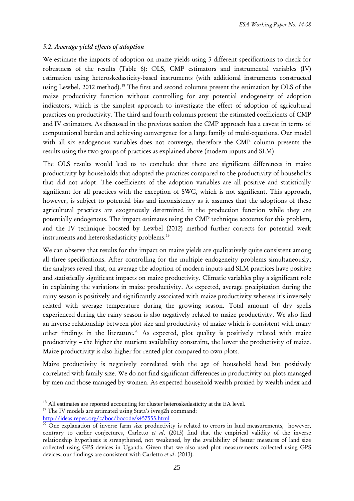# <span id="page-30-0"></span>*5.2. Average yield effects of adoption*

We estimate the impacts of adoption on maize yields using 3 different specifications to check for robustness of the results (Table 6): OLS, CMP estimators and instrumental variables (IV) estimation using heteroskedasticity-based instruments (with additional instruments constructed using Lewbel, 2012 method). [18](#page-24-2) The first and second columns present the estimation by OLS of the maize productivity function without controlling for any potential endogeneity of adoption indicators, which is the simplest approach to investigate the effect of adoption of agricultural practices on productivity. The third and fourth columns present the estimated coefficients of CMP and IV estimators. As discussed in the previous section the CMP approach has a caveat in terms of computational burden and achieving convergence for a large family of multi-equations. Our model with all six endogenous variables does not converge, therefore the CMP column presents the results using the two groups of practices as explained above (modern inputs and SLM)

The OLS results would lead us to conclude that there are significant differences in maize productivity by households that adopted the practices compared to the productivity of households that did not adopt. The coefficients of the adoption variables are all positive and statistically significant for all practices with the exception of SWC, which is not significant. This approach, however, is subject to potential bias and inconsistency as it assumes that the adoptions of these agricultural practices are exogenously determined in the production function while they are potentially endogenous. The impact estimates using the CMP technique accounts for this problem, and the IV technique boosted by Lewbel (2012) method further corrects for potential weak instruments and heteroskedasticity problems.<sup>[19](#page-30-1)</sup>

We can observe that results for the impact on maize yields are qualitatively quite consistent among all three specifications. After controlling for the multiple endogeneity problems simultaneously, the analyses reveal that, on average the adoption of modern inputs and SLM practices have positive and statistically significant impacts on maize productivity. Climatic variables play a significant role in explaining the variations in maize productivity. As expected, average precipitation during the rainy season is positively and significantly associated with maize productivity whereas it's inversely related with average temperature during the growing season. Total amount of dry spells experienced during the rainy season is also negatively related to maize productivity. We also find an inverse relationship between plot size and productivity of maize which is consistent with many other findings in the literature. [20](#page-30-2) As expected, plot quality is positively related with maize productivity – the higher the nutrient availability constraint, the lower the productivity of maize. Maize productivity is also higher for rented plot compared to own plots.

Maize productivity is negatively correlated with the age of household head but positively correlated with family size. We do not find significant differences in productivity on plots managed by men and those managed by women. As expected household wealth proxied by wealth index and

<sup>-</sup><sup>18</sup> All estimates are reported accounting for cluster heteroskedasticity at the EA level.

<span id="page-30-1"></span><sup>&</sup>lt;sup>19</sup> The IV models are estimated using Stata's ivreg2h command:

<span id="page-30-2"></span> $\frac{\text{http://ideas.repec.org/c/hoc/bccode/s457555.html}}{20}$  One explanation of inverse farm size productivity is related to errors in land measurements, however, contrary to earlier conjectures, Carletto *et al*. (2013) find that the empirical validity of the inverse relationship hypothesis is strengthened, not weakened, by the availability of better measures of land size collected using GPS devices in Uganda. Given that we also used plot measurements collected using GPS devices, our findings are consistent with Carletto *et al*. (2013).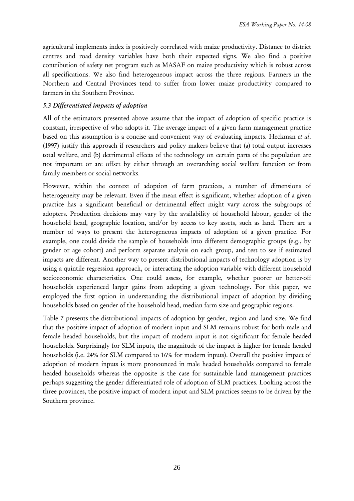agricultural implements index is positively correlated with maize productivity. Distance to district centres and road density variables have both their expected signs. We also find a positive contribution of safety net program such as MASAF on maize productivity which is robust across all specifications. We also find heterogeneous impact across the three regions. Farmers in the Northern and Central Provinces tend to suffer from lower maize productivity compared to farmers in the Southern Province.

# <span id="page-31-0"></span>*5.3 Differentiated impacts of adoption*

All of the estimators presented above assume that the impact of adoption of specific practice is constant, irrespective of who adopts it. The average impact of a given farm management practice based on this assumption is a concise and convenient way of evaluating impacts. Heckman *et al*. (1997) justify this approach if researchers and policy makers believe that (a) total output increases total welfare, and (b) detrimental effects of the technology on certain parts of the population are not important or are offset by either through an overarching social welfare function or from family members or social networks.

However, within the context of adoption of farm practices, a number of dimensions of heterogeneity may be relevant. Even if the mean effect is significant, whether adoption of a given practice has a significant beneficial or detrimental effect might vary across the subgroups of adopters. Production decisions may vary by the availability of household labour, gender of the household head, geographic location, and/or by access to key assets, such as land. There are a number of ways to present the heterogeneous impacts of adoption of a given practice. For example, one could divide the sample of households into different demographic groups (e.g., by gender or age cohort) and perform separate analysis on each group, and test to see if estimated impacts are different. Another way to present distributional impacts of technology adoption is by using a quintile regression approach, or interacting the adoption variable with different household socioeconomic characteristics. One could assess, for example, whether poorer or better-off households experienced larger gains from adopting a given technology. For this paper, we employed the first option in understanding the distributional impact of adoption by dividing households based on gender of the household head, median farm size and geographic regions.

Table 7 presents the distributional impacts of adoption by gender, region and land size. We find that the positive impact of adoption of modern input and SLM remains robust for both male and female headed households, but the impact of modern input is not significant for female headed households. Surprisingly for SLM inputs, the magnitude of the impact is higher for female headed households (i.e. 24% for SLM compared to 16% for modern inputs). Overall the positive impact of adoption of modern inputs is more pronounced in male headed households compared to female headed households whereas the opposite is the case for sustainable land management practices perhaps suggesting the gender differentiated role of adoption of SLM practices. Looking across the three provinces, the positive impact of modern input and SLM practices seems to be driven by the Southern province.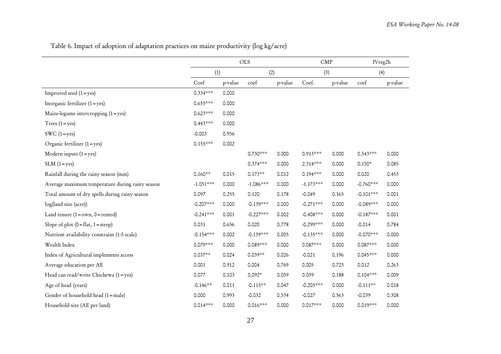| Table 6. Impact of adoption of adaptation practices on maize productivity (log kg/acre) |  |  |  |  |
|-----------------------------------------------------------------------------------------|--|--|--|--|
|                                                                                         |  |  |  |  |

|                                                 |             |         | <b>OLS</b>  |         | $\text{CMP}$ |         |             | IVreg2h |
|-------------------------------------------------|-------------|---------|-------------|---------|--------------|---------|-------------|---------|
|                                                 | (1)         |         | (2)         |         | (3)          |         |             | (4)     |
|                                                 | Coef        | p-value | coef        | p-value | Coef.        | p-value | coef        | p-value |
| Improved seed $(1 = yes)$                       | $0.334***$  | 0.000   |             |         |              |         |             |         |
| Inorganic fertilizer $(1 = yes)$                | $0.655***$  | 0.000   |             |         |              |         |             |         |
| Maize-legume intercropping $(1 = yes)$          | $0.623***$  | 0.000   |             |         |              |         |             |         |
| Trees $(1 = yes)$                               | $0.443***$  | 0.000   |             |         |              |         |             |         |
| SWC $(1 = yes)$                                 | $-0.003$    | 0.956   |             |         |              |         |             |         |
| Organic fertilizer $(1 = yes)$                  | $0.155***$  | 0.002   |             |         |              |         |             |         |
| Modern inputs $(1 = yes)$                       |             |         | $0.730***$  | 0.000   | $0.913***$   | 0.000   | $0.543***$  | 0.000   |
| $SLM$ (1 = yes)                                 |             |         | $0.374***$  | 0.000   | 2.314***     | 0.000   | $0.150*$    | 0.085   |
| Rainfall during the rainy season (mm)           | $0.160**$   | 0.015   | $0.173**$   | 0.012   | $0.194***$   | 0.000   | 0.020       | 0.453   |
| Average maximum temperature during rainy season | $-1.051***$ | 0.000   | $-1.086***$ | 0.000   | $-1.173***$  | 0.000   | $-0.760***$ | 0.000   |
| Total amount of dry spells during rainy season  | 0.097       | 0.255   | 0.120       | 0.178   | $-0.049$     | 0.165   | $-0.101***$ | 0.001   |
| log(land size (acre))                           | $-0.207**$  | 0.000   | $-0.139***$ | 0.000   | $-0.271***$  | 0.000   | $-0.089***$ | 0.000   |
| Land tenure $(1 = own, 0 = rented)$             | $-0.241***$ | 0.001   | $-0.227***$ | 0.002   | $-0.408***$  | 0.000   | $-0.187***$ | 0.001   |
| Slope of plot $(0 = flat, 1 = steep)$           | 0.031       | 0.656   | 0.020       | 0.778   | $-0.299***$  | 0.000   | $-0.014$    | 0.784   |
| Nutrient availability constraint (1-5 scale)    | $-0.154***$ | 0.002   | $-0.139***$ | 0.005   | $-0.135***$  | 0.000   | $-0.070***$ | 0.000   |
| Wealth Index                                    | $0.079***$  | 0.000   | $0.089***$  | 0.000   | $0.087***$   | 0.000   | $0.087***$  | 0.000   |
| Index of Agricultural implements access         | $0.037**$   | 0.024   | $0.039**$   | 0.026   | $-0.021$     | 0.196   | $0.045***$  | 0.000   |
| Average education per AE                        | 0.001       | 0.912   | 0.004       | 0.769   | 0.005        | 0.723   | 0.012       | 0.263   |
| Head can read/write Chichewa (1=yes)            | 0.077       | 0.103   | $0.092*$    | 0.059   | 0.059        | 0.188   | $0.104***$  | 0.009   |
| Age of head (years)                             | $-0.146**$  | 0.011   | $-0.115**$  | 0.047   | $-0.205***$  | 0.000   | $-0.111**$  | 0.018   |
| Gender of household head (1=male)               | 0.000       | 0.993   | $-0.032$    | 0.534   | $-0.027$     | 0.563   | $-0.039$    | 0.308   |
| Household size (AE per land)                    | $0.014***$  | 0.000   | $0.016***$  | 0.000   | $0.017***$   | 0.000   | $0.019***$  | 0.000   |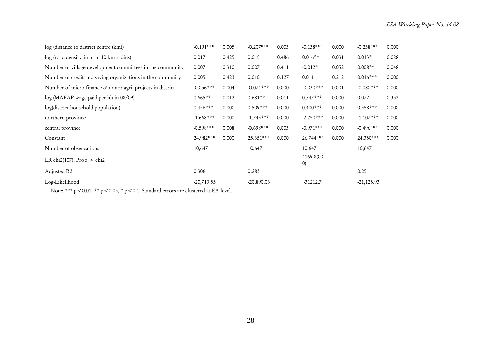| log (distance to district centre (km))                     | $-0.191***$  | 0.005 | $-0.207**$   | 0.003 | $-0.138***$      | 0.000 | $-0.238***$  | 0.000 |
|------------------------------------------------------------|--------------|-------|--------------|-------|------------------|-------|--------------|-------|
| log (road density in m in 10 km radius)                    | 0.017        | 0.425 | 0.015        | 0.486 | $0.016**$        | 0.031 | $0.013*$     | 0.088 |
| Number of village development committees in the community  | 0.007        | 0.310 | 0.007        | 0.411 | $-0.012*$        | 0.052 | $0.008**$    | 0.048 |
| Number of credit and saving organizations in the community | 0.005        | 0.423 | 0.010        | 0.127 | 0.011            | 0.212 | $0.016***$   | 0.000 |
| Number of micro-finance & donor agri. projects in district | $-0.056***$  | 0.004 | $-0.074***$  | 0.000 | $-0.030***$      | 0.001 | $-0.080**$   | 0.000 |
| log (MAFAP wage paid per hh in 08/09)                      | $0.665**$    | 0.012 | $0.681**$    | 0.011 | $0.747***$       | 0.000 | 0.077        | 0.352 |
| log(district household population)                         | $0.456***$   | 0.000 | $0.509***$   | 0.000 | $0.400***$       | 0.000 | $0.358***$   | 0.000 |
| northern province                                          | $-1.668***$  | 0.000 | $-1.743***$  | 0.000 | $-2.250***$      | 0.000 | $-1.107***$  | 0.000 |
| central province                                           | $-0.598***$  | 0.008 | $-0.698***$  | 0.003 | $-0.971***$      | 0.000 | $-0.496***$  | 0.000 |
| Constant                                                   | 24.982***    | 0.000 | 25.351***    | 0.000 | 26.744***        | 0.000 | 24.350***    | 0.000 |
| Number of observations                                     | 10,647       |       | 10,647       |       | 10,647           |       | 10,647       |       |
| LR chi2(107), Prob $>$ chi2                                |              |       |              |       | 4169.8(0.0<br>0) |       |              |       |
| Adjusted R2                                                | 0.306        |       | 0.283        |       |                  |       | 0.251        |       |
| Log-Likelihood                                             | $-20,713.55$ |       | $-20,890.03$ |       | $-31212.7$       |       | $-21,125.93$ |       |

Note: \*\*\* p < 0.01, \*\* p < 0.05, \* p < 0.1. Standard errors are clustered at EA level.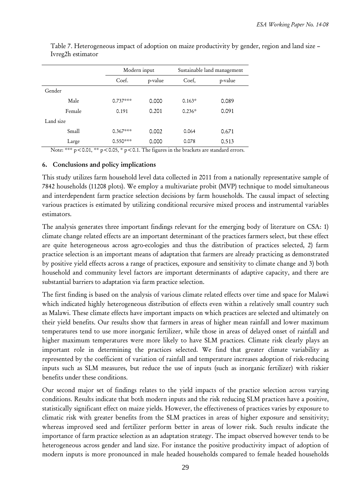|           |            | Modern input |          | Sustainable land management |  |
|-----------|------------|--------------|----------|-----------------------------|--|
|           | Coef.      | p-value      | Coef,    | p-value                     |  |
| Gender    |            |              |          |                             |  |
| Male      | $0.737***$ | 0.000        | $0.163*$ | 0.089                       |  |
| Female    | 0.191      | 0.201        | $0.236*$ | 0.091                       |  |
| Land size |            |              |          |                             |  |
| Small     | $0.367***$ | 0.002        | 0.064    | 0.671                       |  |
| Large     | $0.550***$ | 0.000        | 0.078    | 0.513                       |  |

Table 7. Heterogeneous impact of adoption on maize productivity by gender, region and land size – Ivreg2h estimator

Note:  $*** p < 0.01$ ,  $** p < 0.05$ ,  $* p < 0.1$ . The figures in the brackets are standard errors.

#### <span id="page-34-0"></span>6. Conclusions and policy implications

This study utilizes farm household level data collected in 2011 from a nationally representative sample of 7842 households (11208 plots). We employ a multivariate probit (MVP) technique to model simultaneous and interdependent farm practice selection decisions by farm households. The causal impact of selecting various practices is estimated by utilizing conditional recursive mixed process and instrumental variables estimators.

The analysis generates three important findings relevant for the emerging body of literature on CSA: 1) climate change related effects are an important determinant of the practices farmers select, but these effect are quite heterogeneous across agro-ecologies and thus the distribution of practices selected, 2) farm practice selection is an important means of adaptation that farmers are already practicing as demonstrated by positive yield effects across a range of practices, exposure and sensitivity to climate change and 3) both household and community level factors are important determinants of adaptive capacity, and there are substantial barriers to adaptation via farm practice selection.

The first finding is based on the analysis of various climate related effects over time and space for Malawi which indicated highly heterogeneous distribution of effects even within a relatively small country such as Malawi. These climate effects have important impacts on which practices are selected and ultimately on their yield benefits. Our results show that farmers in areas of higher mean rainfall and lower maximum temperatures tend to use more inorganic fertilizer, while those in areas of delayed onset of rainfall and higher maximum temperatures were more likely to have SLM practices. Climate risk clearly plays an important role in determining the practices selected. We find that greater climate variability as represented by the coefficient of variation of rainfall and temperature increases adoption of risk-reducing inputs such as SLM measures, but reduce the use of inputs (such as inorganic fertilizer) with riskier benefits under these conditions.

Our second major set of findings relates to the yield impacts of the practice selection across varying conditions. Results indicate that both modern inputs and the risk reducing SLM practices have a positive, statistically significant effect on maize yields. However, the effectiveness of practices varies by exposure to climatic risk with greater benefits from the SLM practices in areas of higher exposure and sensitivity; whereas improved seed and fertilizer perform better in areas of lower risk. Such results indicate the importance of farm practice selection as an adaptation strategy. The impact observed however tends to be heterogeneous across gender and land size. For instance the positive productivity impact of adoption of modern inputs is more pronounced in male headed households compared to female headed households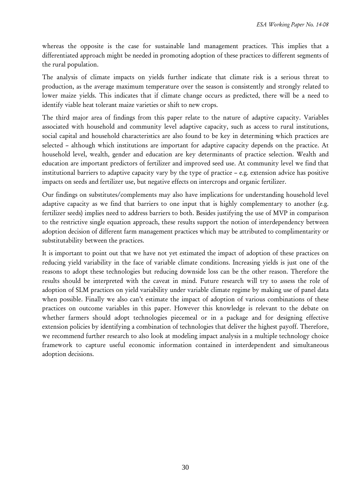whereas the opposite is the case for sustainable land management practices. This implies that a differentiated approach might be needed in promoting adoption of these practices to different segments of the rural population.

The analysis of climate impacts on yields further indicate that climate risk is a serious threat to production, as the average maximum temperature over the season is consistently and strongly related to lower maize yields. This indicates that if climate change occurs as predicted, there will be a need to identify viable heat tolerant maize varieties or shift to new crops.

The third major area of findings from this paper relate to the nature of adaptive capacity. Variables associated with household and community level adaptive capacity, such as access to rural institutions, social capital and household characteristics are also found to be key in determining which practices are selected – although which institutions are important for adaptive capacity depends on the practice. At household level, wealth, gender and education are key determinants of practice selection. Wealth and education are important predictors of fertilizer and improved seed use. At community level we find that institutional barriers to adaptive capacity vary by the type of practice – e.g. extension advice has positive impacts on seeds and fertilizer use, but negative effects on intercrops and organic fertilizer.

Our findings on substitutes/complements may also have implications for understanding household level adaptive capacity as we find that barriers to one input that is highly complementary to another (e.g. fertilizer seeds) implies need to address barriers to both. Besides justifying the use of MVP in comparison to the restrictive single equation approach, these results support the notion of interdependency between adoption decision of different farm management practices which may be attributed to complimentarity or substitutability between the practices.

It is important to point out that we have not yet estimated the impact of adoption of these practices on reducing yield variability in the face of variable climate conditions. Increasing yields is just one of the reasons to adopt these technologies but reducing downside loss can be the other reason. Therefore the results should be interpreted with the caveat in mind. Future research will try to assess the role of adoption of SLM practices on yield variability under variable climate regime by making use of panel data when possible. Finally we also can't estimate the impact of adoption of various combinations of these practices on outcome variables in this paper. However this knowledge is relevant to the debate on whether farmers should adopt technologies piecemeal or in a package and for designing effective extension policies by identifying a combination of technologies that deliver the highest payoff. Therefore, we recommend further research to also look at modeling impact analysis in a multiple technology choice framework to capture useful economic information contained in interdependent and simultaneous adoption decisions.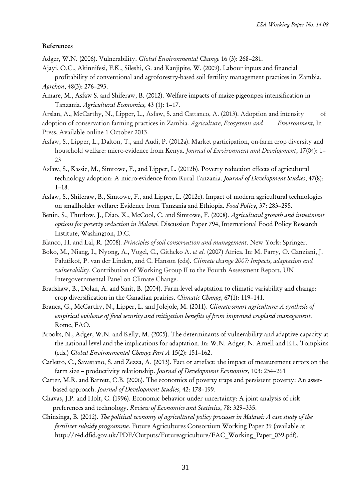#### <span id="page-36-0"></span>References

Adger, W.N. (2006). Vulnerability. *Global Environmental Change* 16 (3): 268–281.

Ajayi, O.C., Akinnifesi, F.K., Sileshi, G. and Kanjipite, W. (2009). Labour inputs and financial profitability of conventional and agroforestry-based soil fertility management practices in Zambia. *Agrekon*, 48(3): 276–293.

Amare, M., Asfaw S. and Shiferaw, B. (2012). Welfare impacts of maize-pigeonpea intensification in Tanzania. *Agricultural Economics,* 43 (1): 1–17.

Arslan, A., McCarthy, N., Lipper, L., Asfaw, S. and Cattaneo, A. (2013). Adoption and intensity of

adoption of conservation farming practices in Zambia. *Agriculture, Ecosystems and Environment,* In Press, Available online 1 October 2013.

- Asfaw, S., Lipper, L., Dalton, T., and Audi, P. (2012a). Market participation, on-farm crop diversity and household welfare: micro-evidence from Kenya. *Journal of Environment and Development*, 17(04): 1– 23
- Asfaw, S., Kassie, M., Simtowe, F., and Lipper, L. (2012b). Poverty reduction effects of agricultural technology adoption: A micro-evidence from Rural Tanzania. *Journal of Development Studies*, 47(8): 1–18.
- Asfaw, S., Shiferaw, B., Simtowe, F., and Lipper, L. (2012c). Impact of modern agricultural technologies on smallholder welfare: Evidence from Tanzania and Ethiopia. *Food Policy*, 37: 283–295.
- Benin, S., Thurlow, J., Diao, X., McCool, C. and Simtowe, F. (2008). *Agricultural growth and investment options for poverty reduction in Malawi.* Discussion Paper 794, International Food Policy Research Institute, Washington, D.C.
- Blanco, H. and Lal, R. (2008)*. Principles of soil conservation and management*. New York: Springer.
- Boko, M., Niang, I., Nyong, A., Vogel, C., Githeko A. *et al.* (2007) Africa. In: M. Parry, O. Canziani, J. Palutikof, P. van der Linden, and C. Hanson (eds). *Climate change 2007: Impacts, adaptation and vulnerability.* Contribution of Working Group II to the Fourth Assessment Report, UN Intergovernmental Panel on Climate Change.
- Bradshaw, B., Dolan, A. and Smit, B. (2004). Farm-level adaptation to climatic variability and change: crop diversification in the Canadian prairies. *Climatic Change,* 67(1): 119–141.
- Branca, G., McCarthy, N., Lipper, L. and Jolejole, M. (2011). *Climate-smart agriculture: A synthesis of empirical evidence of food security and mitigation benefits of from improved cropland management.* Rome, FAO.
- Brooks, N., Adger, W.N. and Kelly, M. (2005). The determinants of vulnerability and adaptive capacity at the national level and the implications for adaptation. In: W.N. Adger, N. Arnell and E.L. Tompkins (eds.) *Global Environmental Change Part A* 15(2): 151–162.
- Carletto, C., Savastano, S. and Zezza, A. (2013). Fact or artefact: the impact of measurement errors on the farm size – productivity relationship. *Journal of Development Economics*, 103: 254–261
- Carter, M.R. and Barrett, C.B. (2006). The economics of poverty traps and persistent poverty: An assetbased approach. *Journal of Development Studies*, 42: 178–199.
- Chavas, J.P. and Holt, C. (1996). Economic behavior under uncertainty: A joint analysis of risk preferences and technology. *Review of Economics and Statistics*, 78: 329–335.
- Chinsinga, B. (2012). *The political economy of agricultural policy processes in Malawi: A case study of the fertilizer subsidy programme*. Future Agricultures Consortium Working Paper 39 (available at http://r4d.dfid.gov.uk/PDF/Outputs/Futureagriculture/FAC\_Working\_Paper\_039.pdf).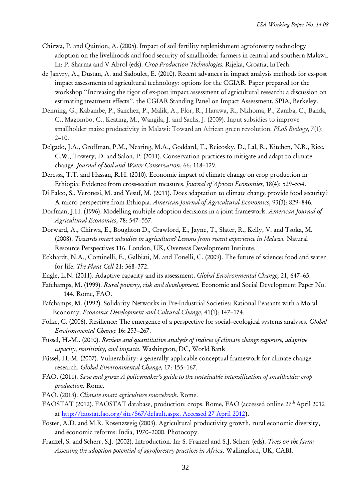- Chirwa, P. and Quinion, A. (2005). Impact of soil fertility replenishment agroforestry technology adoption on the livelihoods and food security of smallholder farmers in central and southern Malawi. In: P. Sharma and V Abrol (eds). *Crop Production Technologies.* Rijeka, Croatia, InTech.
- de Janvry, A., Dustan, A. and Sadoulet, E. (2010). Recent advances in impact analysis methods for ex-post impact assessments of agricultural technology: options for the CGIAR. Paper prepared for the workshop ''Increasing the rigor of ex-post impact assessment of agricultural research: a discussion on estimating treatment effects'', the CGIAR Standing Panel on Impact Assessment, SPIA, Berkeley.
- Denning, G., Kabambe, P., Sanchez, P., Malik, A., Flor, R., Harawa, R., Nkhoma, P., Zamba, C., Banda, C., Magombo, C., Keating, M., Wangila, J. and Sachs, J. (2009). Input subsidies to improve smallholder maize productivity in Malawi: Toward an African green revolution. *PLoS Biology,* 7(1): 2–10.
- Delgado, J.A., Groffman, P.M., Nearing, M.A., Goddard, T., Reicosky, D., Lal, R., Kitchen, N.R., Rice, C.W., Towery, D. and Salon, P. (2011). Conservation practices to mitigate and adapt to climate change. *Journal of Soil and Water Conservation*, 66: 118–129.
- Deressa, T.T. and Hassan, R.H. (2010). Economic impact of climate change on crop production in Ethiopia: Evidence from cross-section measures. *Journal of African Economies,* 18(4): 529–554.
- Di Falco, S., Veronesi, M. and Yesuf, M. (2011). Does adaptation to climate change provide food security? A micro perspective from Ethiopia. *American Journal of Agricultural Economics*, 93(3): 829–846.
- Dorfman, J.H. (1996). Modelling multiple adoption decisions in a joint framework. *American Journal of Agricultural Economics*, 78: 547–557.
- Dorward, A., Chirwa, E., Boughton D., Crawford, E., Jayne, T., Slater, R., Kelly, V. and Tsoka, M. (2008). *Towards smart subsidies in agriculture? Lessons from recent experience in Malawi.* Natural Resource Perspectives 116. London, UK, Overseas Development Institute.
- Eckhardt, N.A., Cominelli, E., Galbiati, M. and Tonelli, C. (2009). The future of science: food and water for life. *The Plant Cell* 21: 368–372.
- Engle, L.N. (2011). Adaptive capacity and its assessment. *Global Environmental Change,* 21, 647–65.
- Fafchamps, M. (1999). *Rural poverty, risk and development.* Economic and Social Development Paper No. 144. Rome, FAO.
- Fafchamps, M. (1992). Solidarity Networks in Pre-Industrial Societies: Rational Peasants with a Moral Economy. *Economic Development and Cultural Change*, 41(1): 147–174.
- Folke, C. (2006). Resilience: The emergence of a perspective for social–ecological systems analyses. *Global Environmental Change* 16: 253–267.
- Füssel, H.-M.. (2010). *Review and quantitative analysis of indices of climate change exposure, adaptive capacity, sensitivity, and impacts*. Washington, DC, World Bank
- Füssel, H.-M. (2007). Vulnerability: a generally applicable conceptual framework for climate change research. *Global Environmental Change,* 17: 155–167.
- FAO. (2011). *Save and grow: A policymaker's guide to the sustainable intensification of smallholder crop production.* Rome.
- FAO. (2013). *Climate smart agriculture sourcebook*. Rome.
- FAOSTAT (2012). FAOSTAT database, production: crops. Rome, FAO (accessed online 27<sup>th</sup> April 2012 at [http://faostat.fao.org/site/567/default.aspx. Accessed 27 April 2012](http://faostat.fao.org/site/567/default.aspx.%20Accessed%2027%20April%202012)).
- Foster, A.D. and M.R. Rosenzweig (2003). Agricultural productivity growth, rural economic diversity, and economic reforms: India, 1970–2000. Photocopy.
- Franzel, S. and Scherr, S.J. (2002). Introduction. In: S. Franzel and S.J. Scherr (eds). *Trees on the farm: Assessing the adoption potential of agroforestry practices in Africa*. Wallingford, UK, CABI.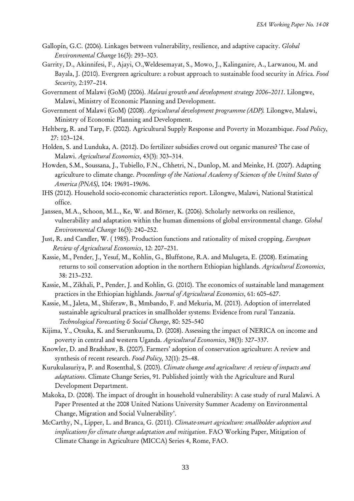- Gallopín, G.C. (2006). Linkages between vulnerability, resilience, and adaptive capacity. *Global Environmental Change* 16(3): 293–303.
- Garrity, D., Akinnifesi, F., Ajayi, O.,Weldesemayat, S., Mowo, J., Kalinganire, A., Larwanou, M. and Bayala, J. (2010). Evergreen agriculture: a robust approach to sustainable food security in Africa. *Food Security,* 2:197–214.
- Government of Malawi (GoM) (2006). *Malawi growth and development strategy 2006–2011*. Lilongwe, Malawi, Ministry of Economic Planning and Development.
- Government of Malawi (GoM) (2008). *Agricultural development programme (ADP).* Lilongwe, Malawi, Ministry of Economic Planning and Development.
- Heltberg, R. and Tarp, F. (2002). Agricultural Supply Response and Poverty in Mozambique. *Food Policy*, 27: 103–124.
- Holden, S. and Lunduka, A. (2012). Do fertilizer subsidies crowd out organic manures? The case of Malawi. *Agricultural Economics*, 43(3): 303–314.
- Howden, S.M., Soussana, J., Tubiello, F.N., Chhetri, N., Dunlop, M. and Meinke, H. (2007). Adapting agriculture to climate change. *Proceedings of the National Academy of Sciences of the United States of America (PNAS)*, 104: 19691–19696.
- IHS (2012). Household socio-economic characteristics report. Lilongwe, Malawi, National Statistical office.
- Janssen, M.A., Schoon, M.L., Ke, W. and Börner, K. (2006). Scholarly networks on resilience, vulnerability and adaptation within the human dimensions of global environmental change. *Global Environmental Change* 16(3): 240–252.
- Just, R. and Candler, W. ( 1985). Production functions and rationality of mixed cropping. *European Review of Agricultural Economics*, 12: 207–231.
- Kassie, M., Pender, J., Yesuf, M., Kohlin, G., Bluffstone, R.A. and Mulugeta, E. (2008). Estimating returns to soil conservation adoption in the northern Ethiopian highlands. *Agricultural Economics*, 38: 213–232.
- Kassie, M., Zikhali, P., Pender, J. and Kohlin, G. (2010). The economics of sustainable land management practices in the Ethiopian highlands. *Journal of Agricultural Economics*, 61: 605–627.
- Kassie, M., Jaleta, M., Shiferaw, B., Mmbando, F. and Mekuria, M. (2013). Adoption of interrelated sustainable agricultural practices in smallholder systems: Evidence from rural Tanzania. *Technological Forecasting & Social Change*, 80: 525–540
- Kijima, Y., Otsuka, K. and Sserunkuuma, D. (2008). Assessing the impact of NERICA on income and poverty in central and western Uganda. *Agricultural Economics*, 38(3): 327–337.
- Knowler, D. and Bradshaw, B. (2007). Farmers' adoption of conservation agriculture: A review and synthesis of recent research. *Food Policy,* 32(1): 25–48.
- Kurukulasuriya, P. and Rosenthal, S. (2003). *Climate change and agriculture: A review of impacts and adaptations*. Climate Change Series, 91. Published jointly with the Agriculture and Rural Development Department.
- Makoka, D. (2008). The impact of drought in household vulnerability: A case study of rural Malawi. A Paper Presented at the 2008 United Nations University Summer Academy on Environmental Change, Migration and Social Vulnerability'.
- McCarthy, N., Lipper, L. and Branca, G. (2011). *Climate-smart agriculture: smallholder adoption and implications for climate change adaptation and mitigation*. FAO Working Paper, Mitigation of Climate Change in Agriculture (MICCA) Series 4, Rome, FAO.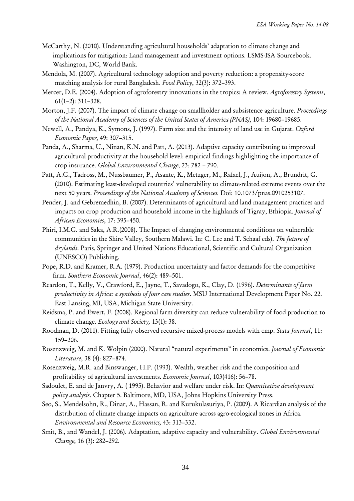- McCarthy, N. (2010). Understanding agricultural households' adaptation to climate change and implications for mitigation: Land management and investment options. LSMS-ISA Sourcebook. Washington, DC, World Bank.
- Mendola, M. (2007). Agricultural technology adoption and poverty reduction: a propensity-score matching analysis for rural Bangladesh. *Food Policy*, 32(3): 372–393.
- Mercer, D.E. (2004). Adoption of agroforestry innovations in the tropics: A review. *Agroforestry Systems*, 61(1–2): 311–328.
- Morton, J.F. (2007). The impact of climate change on smallholder and subsistence agriculture. *Proceedings of the National Academy of Sciences of the United States of America (PNAS)*, 104: 19680–19685.
- Newell, A., Pandya, K., Symons, J. (1997). Farm size and the intensity of land use in Gujarat. *Oxford Economic Paper,* 49: 307–315.
- Panda, A., Sharma, U., Ninan, K.N. and Patt, A. (2013). Adaptive capacity contributing to improved agricultural productivity at the household level: empirical findings highlighting the importance of crop insurance. *Global Environmental Change,* 23: 782 – 790.
- Patt, A.G., Tadross, M., Nussbaumer, P., Asante, K., Metzger, M., Rafael, J., Auijon, A., Brundrit, G. (2010). Estimating least-developed countries' vulnerability to climate-related extreme events over the next 50 years. *Proceedings of the National Academy of Sciences.* Doi: 10.1073/pnas.0910253107.
- Pender, J. and Gebremedhin, B. (2007). Determinants of agricultural and land management practices and impacts on crop production and household income in the highlands of Tigray, Ethiopia. *Journal of African Economies*, 17: 395–450.
- Phiri, I.M.G. and Saka, A.R.(2008). The Impact of changing environmental conditions on vulnerable communities in the Shire Valley, Southern Malawi. In: C. Lee and T. Schaaf eds). *The future of drylands*. Paris, Springer and United Nations Educational, Scientific and Cultural Organization (UNESCO) Publishing.
- Pope, R.D. and Kramer, R.A. (1979). Production uncertainty and factor demands for the competitive firm. *Southern Economic Journal*, 46(2): 489–501.
- Reardon, T., Kelly, V., Crawford, E., Jayne, T., Savadogo, K., Clay, D. (1996). *Determinants of farm productivity in Africa: a synthesis of four case studies*. MSU International Development Paper No. 22. East Lansing, MI, USA, Michigan State University.
- Reidsma, P. and Ewert, F. (2008). Regional farm diversity can reduce vulnerability of food production to climate change. *Ecology and Society,* 13(1): 38.
- Roodman, D. (2011). Fitting fully observed recursive mixed-process models with cmp. *Stata Journal*, 11: 159–206.
- Rosenzweig, M. and K. Wolpin (2000). Natural "natural experiments" in economics. *Journal of Economic Literature*, 38 (4): 827–874.
- Rosenzweig, M.R. and Binswanger, H.P. (1993). Wealth, weather risk and the composition and profitability of agricultural investments. *Economic Journal*, 103(416): 56–78.
- Sadoulet, E. and de Janvry, A. ( 1995). Behavior and welfare under risk. In: *Quantitative development policy analysis*. Chapter 5. Baltimore, MD, USA, Johns Hopkins University Press.
- Seo, S., Mendelsohn, R., Dinar, A., Hassan, R. and Kurukulasuriya, P. (2009). A Ricardian analysis of the distribution of climate change impacts on agriculture across agro-ecological zones in Africa. *Environmental and Resource Economics,* 43: 313–332.
- Smit, B., and Wandel, J. (2006). Adaptation, adaptive capacity and vulnerability. *Global Environmental Change,* 16 (3): 282–292.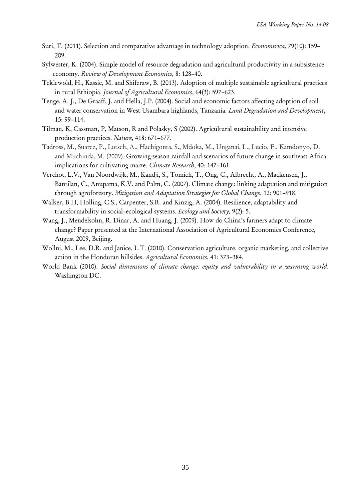- Suri, T. (2011). Selection and comparative advantage in technology adoption. *Economtrica*, 79(10): 159– 209.
- Sylwester, K. (2004). Simple model of resource degradation and agricultural productivity in a subsistence economy. *Review of Development Economics*, 8: 128–40.
- Teklewold, H., Kassie, M. and Shiferaw, B. (2013). Adoption of multiple sustainable agricultural practices in rural Ethiopia. *Journal of Agricultural Economics*, 64(3): 597–623.
- Tenge, A. J., De Graaff, J. and Hella, J.P. (2004). Social and economic factors affecting adoption of soil and water conservation in West Usambara highlands, Tanzania. *Land Degradation and Development*, 15: 99–114.
- Tilman, K, Cassman, P, Matson, R and Polasky, S (2002). Agricultural sustainability and intensive production practices. *Nature,* 418: 671–677.
- Tadross, M., Suarez, P., Lotsch, A., Hachigonta, S., Mdoka, M., Unganai, L., Lucio, F., Kamdonyo, D. and Muchinda, M. (2009). Growing-season rainfall and scenarios of future change in southeast Africa: implications for cultivating maize. *Climate Research*, 40: 147–161.
- Verchot, L.V., Van Noordwijk, M., Kandji, S., Tomich, T., Ong, C., Albrecht, A., Mackensen, J., Bantilan, C., Anupama, K.V. and Palm, C. (2007). Climate change: linking adaptation and mitigation through agroforestry. *Mitigation and Adaptation Strategies for Global Change*, 12: 901–918.
- Walker, B.H, Holling, C.S., Carpenter, S.R. and Kinzig, A. (2004). Resilience, adaptability and transformability in social–ecological systems. *Ecology and Society,* 9(2): 5.
- Wang, J., Mendelsohn, R. Dinar, A. and Huang, J. (2009). How do China's farmers adapt to climate change? Paper presented at the International Association of Agricultural Economics Conference, August 2009, Beijing.
- Wollni, M., Lee, D.R. and Janice, L.T. (2010). Conservation agriculture, organic marketing, and collective action in the Honduran hillsides. *Agricultural Economics*, 41: 373–384.
- World Bank (2010). *Social dimensions of climate change: equity and vulnerability in a warming world*. Washington DC.